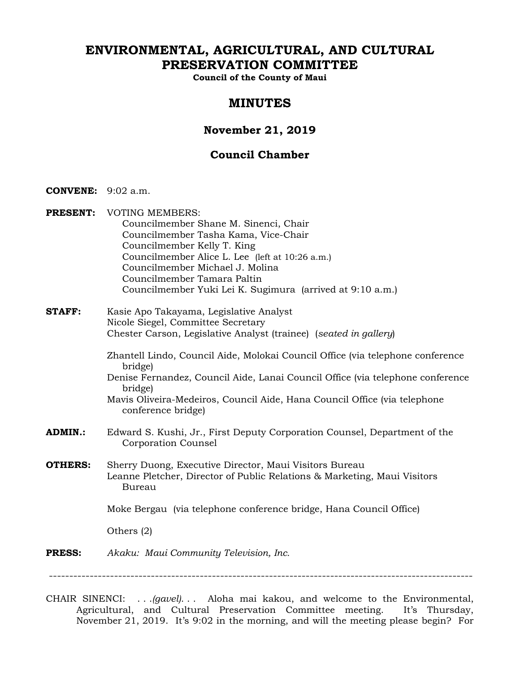# **ENVIRONMENTAL, AGRICULTURAL, AND CULTURAL PRESERVATION COMMITTEE**

**Council of the County of Maui** 

# **MINUTES**

# **November 21, 2019**

# **Council Chamber**

- **CONVENE:** 9:02 a.m.
- **PRESENT:** VOTING MEMBERS: Councilmember Shane M. Sinenci, Chair Councilmember Tasha Kama, Vice-Chair Councilmember Kelly T. King Councilmember Alice L. Lee (left at 10:26 a.m.) Councilmember Michael J. Molina Councilmember Tamara Paltin Councilmember Yuki Lei K. Sugimura (arrived at 9:10 a.m.)
- **STAFF:** Kasie Apo Takayama, Legislative Analyst Nicole Siegel, Committee Secretary Chester Carson, Legislative Analyst (trainee) (*seated in gallery*)
	- Zhantell Lindo, Council Aide, Molokai Council Office (via telephone conference bridge)
	- Denise Fernandez, Council Aide, Lanai Council Office (via telephone conference bridge)
	- Mavis Oliveira-Medeiros, Council Aide, Hana Council Office (via telephone conference bridge)
- **ADMIN.:** Edward S. Kushi, Jr., First Deputy Corporation Counsel, Department of the Corporation Counsel
- **OTHERS:** Sherry Duong, Executive Director, Maui Visitors Bureau Leanne Pletcher, Director of Public Relations & Marketing, Maui Visitors Bureau

Moke Bergau (via telephone conference bridge, Hana Council Office)

Others (2)

**PRESS:** *Akaku: Maui Community Television, Inc.*

--------------------------------------------------------------------------------------------------------

CHAIR SINENCI: . . .*(gavel)*. . . Aloha mai kakou, and welcome to the Environmental, Agricultural, and Cultural Preservation Committee meeting. It's Thursday, November 21, 2019. It's 9:02 in the morning, and will the meeting please begin? For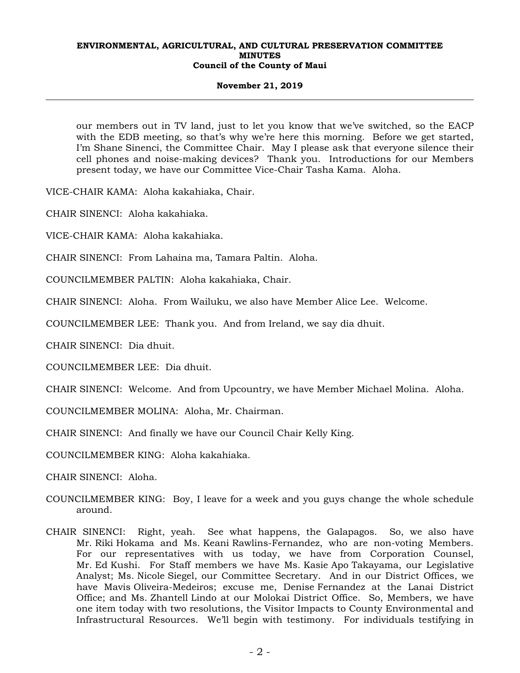#### **November 21, 2019**

our members out in TV land, just to let you know that we've switched, so the EACP with the EDB meeting, so that's why we're here this morning. Before we get started, I'm Shane Sinenci, the Committee Chair. May I please ask that everyone silence their cell phones and noise-making devices? Thank you. Introductions for our Members present today, we have our Committee Vice-Chair Tasha Kama. Aloha.

VICE-CHAIR KAMA: Aloha kakahiaka, Chair.

CHAIR SINENCI: Aloha kakahiaka.

VICE-CHAIR KAMA: Aloha kakahiaka.

CHAIR SINENCI: From Lahaina ma, Tamara Paltin. Aloha.

COUNCILMEMBER PALTIN: Aloha kakahiaka, Chair.

CHAIR SINENCI: Aloha. From Wailuku, we also have Member Alice Lee. Welcome.

COUNCILMEMBER LEE: Thank you. And from Ireland, we say dia dhuit.

CHAIR SINENCI: Dia dhuit.

COUNCILMEMBER LEE: Dia dhuit.

CHAIR SINENCI: Welcome. And from Upcountry, we have Member Michael Molina. Aloha.

COUNCILMEMBER MOLINA: Aloha, Mr. Chairman.

CHAIR SINENCI: And finally we have our Council Chair Kelly King.

COUNCILMEMBER KING: Aloha kakahiaka.

CHAIR SINENCI: Aloha.

- COUNCILMEMBER KING: Boy, I leave for a week and you guys change the whole schedule around.
- CHAIR SINENCI: Right, yeah. See what happens, the Galapagos. So, we also have Mr. Riki Hokama and Ms. Keani Rawlins-Fernandez, who are non-voting Members. For our representatives with us today, we have from Corporation Counsel, Mr. Ed Kushi. For Staff members we have Ms. Kasie Apo Takayama, our Legislative Analyst; Ms. Nicole Siegel, our Committee Secretary. And in our District Offices, we have Mavis Oliveira-Medeiros; excuse me, Denise Fernandez at the Lanai District Office; and Ms. Zhantell Lindo at our Molokai District Office. So, Members, we have one item today with two resolutions, the Visitor Impacts to County Environmental and Infrastructural Resources. We'll begin with testimony. For individuals testifying in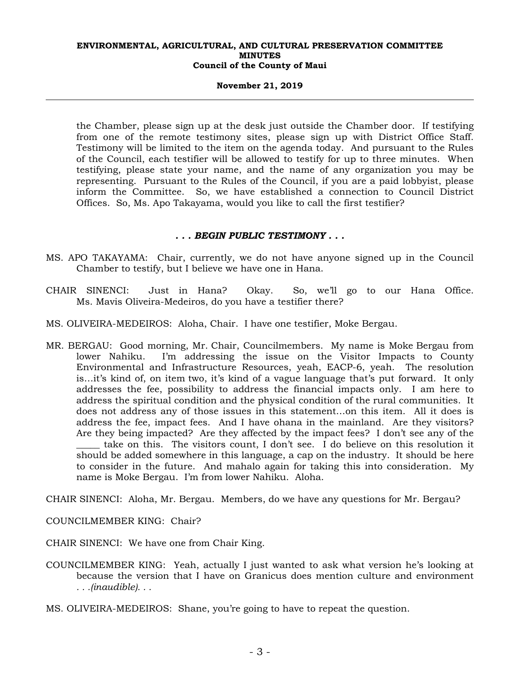#### **November 21, 2019**

the Chamber, please sign up at the desk just outside the Chamber door. If testifying from one of the remote testimony sites, please sign up with District Office Staff. Testimony will be limited to the item on the agenda today. And pursuant to the Rules of the Council, each testifier will be allowed to testify for up to three minutes. When testifying, please state your name, and the name of any organization you may be representing. Pursuant to the Rules of the Council, if you are a paid lobbyist, please inform the Committee. So, we have established a connection to Council District Offices. So, Ms. Apo Takayama, would you like to call the first testifier?

### *. . . BEGIN PUBLIC TESTIMONY . . .*

- MS. APO TAKAYAMA: Chair, currently, we do not have anyone signed up in the Council Chamber to testify, but I believe we have one in Hana.
- CHAIR SINENCI: Just in Hana? Okay. So, we'll go to our Hana Office. Ms. Mavis Oliveira-Medeiros, do you have a testifier there?
- MS. OLIVEIRA-MEDEIROS: Aloha, Chair. I have one testifier, Moke Bergau.
- MR. BERGAU: Good morning, Mr. Chair, Councilmembers. My name is Moke Bergau from lower Nahiku. I'm addressing the issue on the Visitor Impacts to County Environmental and Infrastructure Resources, yeah, EACP-6, yeah. The resolution is…it's kind of, on item two, it's kind of a vague language that's put forward. It only addresses the fee, possibility to address the financial impacts only. I am here to address the spiritual condition and the physical condition of the rural communities. It does not address any of those issues in this statement…on this item. All it does is address the fee, impact fees. And I have ohana in the mainland. Are they visitors? Are they being impacted? Are they affected by the impact fees? I don't see any of the take on this. The visitors count, I don't see. I do believe on this resolution it should be added somewhere in this language, a cap on the industry. It should be here to consider in the future. And mahalo again for taking this into consideration. My name is Moke Bergau. I'm from lower Nahiku. Aloha.

CHAIR SINENCI: Aloha, Mr. Bergau. Members, do we have any questions for Mr. Bergau?

COUNCILMEMBER KING: Chair?

CHAIR SINENCI: We have one from Chair King.

- COUNCILMEMBER KING: Yeah, actually I just wanted to ask what version he's looking at because the version that I have on Granicus does mention culture and environment *. . .(inaudible). . .*
- MS. OLIVEIRA-MEDEIROS: Shane, you're going to have to repeat the question.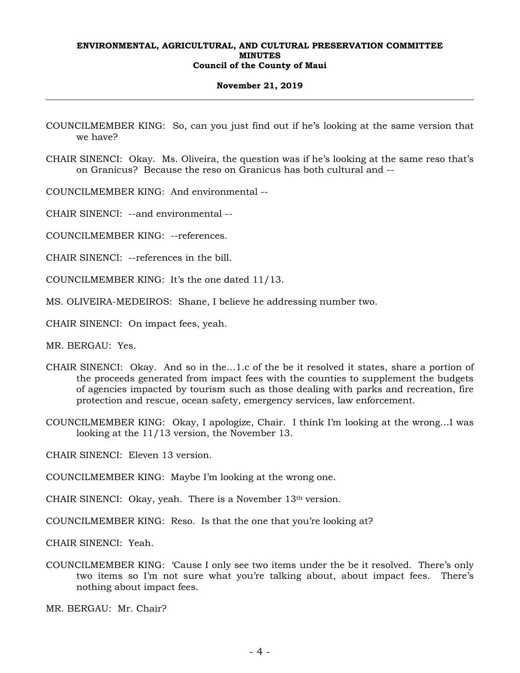#### **November 21, 2019**

- COUNCILMEMBER KING: So, can you just find out if he's looking at the same version that we have?
- CHAIR SINENCI: Okay. Ms. Oliveira, the question was if he's looking at the same reso that's on Granicus? Because the reso on Granicus has both cultural and --

COUNCILMEMBER KING: And environmental --

CHAIR SINENCI: --and environmental --

COUNCILMEMBER KING: --references.

CHAIR SINENCI: --references in the bill.

- COUNCILMEMBER KING: It's the one dated 11/13.
- MS. OLIVEIRA-MEDEIROS: Shane, I believe he addressing number two.
- CHAIR SINENCI: On impact fees, yeah.

MR. BERGAU: Yes.

- CHAIR SINENCI: Okay. And so in the…1.c of the be it resolved it states, share a portion of the proceeds generated from impact fees with the counties to supplement the budgets of agencies impacted by tourism such as those dealing with parks and recreation, fire protection and rescue, ocean safety, emergency services, law enforcement.
- COUNCILMEMBER KING: Okay, I apologize, Chair. I think I'm looking at the wrong…I was looking at the 11/13 version, the November 13.

CHAIR SINENCI: Eleven 13 version.

COUNCILMEMBER KING: Maybe I'm looking at the wrong one.

CHAIR SINENCI: Okay, yeah. There is a November 13th version.

COUNCILMEMBER KING: Reso. Is that the one that you're looking at?

CHAIR SINENCI: Yeah.

COUNCILMEMBER KING: 'Cause I only see two items under the be it resolved. There's only two items so I'm not sure what you're talking about, about impact fees. There's nothing about impact fees.

MR. BERGAU: Mr. Chair?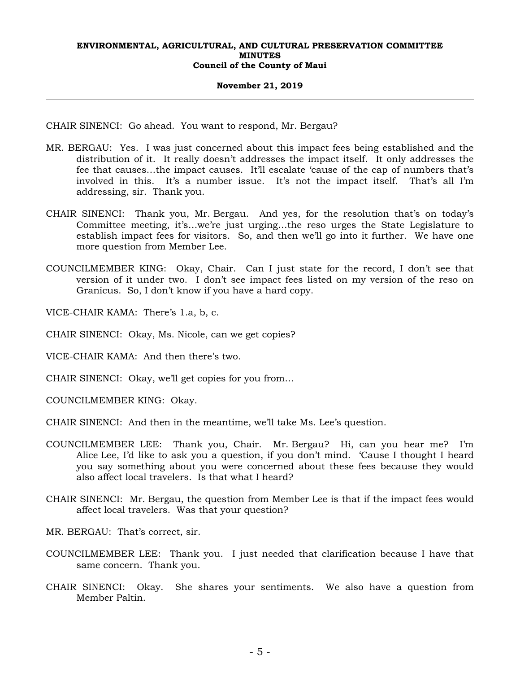#### **November 21, 2019**

CHAIR SINENCI: Go ahead. You want to respond, Mr. Bergau?

- MR. BERGAU: Yes. I was just concerned about this impact fees being established and the distribution of it. It really doesn't addresses the impact itself. It only addresses the fee that causes…the impact causes. It'll escalate 'cause of the cap of numbers that's involved in this. It's a number issue. It's not the impact itself. That's all I'm addressing, sir. Thank you.
- CHAIR SINENCI: Thank you, Mr. Bergau. And yes, for the resolution that's on today's Committee meeting, it's…we're just urging…the reso urges the State Legislature to establish impact fees for visitors. So, and then we'll go into it further. We have one more question from Member Lee.
- COUNCILMEMBER KING: Okay, Chair. Can I just state for the record, I don't see that version of it under two. I don't see impact fees listed on my version of the reso on Granicus. So, I don't know if you have a hard copy.

VICE-CHAIR KAMA: There's 1.a, b, c.

- CHAIR SINENCI: Okay, Ms. Nicole, can we get copies?
- VICE-CHAIR KAMA: And then there's two.
- CHAIR SINENCI: Okay, we'll get copies for you from…

COUNCILMEMBER KING: Okay.

- CHAIR SINENCI: And then in the meantime, we'll take Ms. Lee's question.
- COUNCILMEMBER LEE: Thank you, Chair. Mr. Bergau? Hi, can you hear me? I'm Alice Lee, I'd like to ask you a question, if you don't mind. 'Cause I thought I heard you say something about you were concerned about these fees because they would also affect local travelers. Is that what I heard?
- CHAIR SINENCI: Mr. Bergau, the question from Member Lee is that if the impact fees would affect local travelers. Was that your question?

MR. BERGAU: That's correct, sir.

- COUNCILMEMBER LEE: Thank you. I just needed that clarification because I have that same concern. Thank you.
- CHAIR SINENCI: Okay. She shares your sentiments. We also have a question from Member Paltin.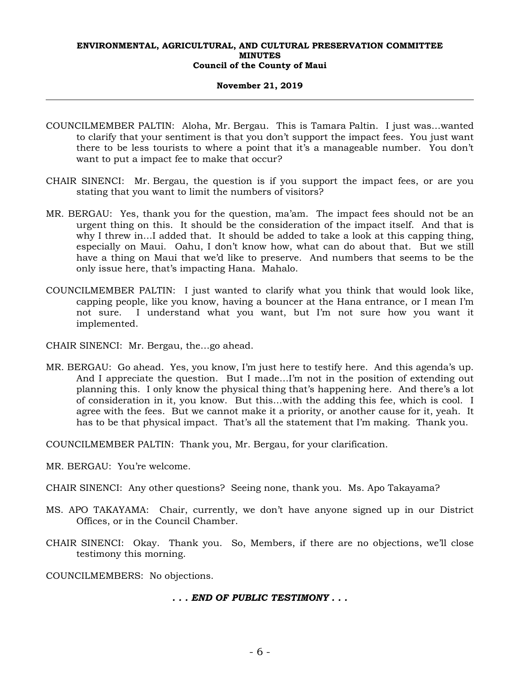#### **November 21, 2019**

- COUNCILMEMBER PALTIN: Aloha, Mr. Bergau. This is Tamara Paltin. I just was…wanted to clarify that your sentiment is that you don't support the impact fees. You just want there to be less tourists to where a point that it's a manageable number. You don't want to put a impact fee to make that occur?
- CHAIR SINENCI: Mr. Bergau, the question is if you support the impact fees, or are you stating that you want to limit the numbers of visitors?
- MR. BERGAU: Yes, thank you for the question, ma'am. The impact fees should not be an urgent thing on this. It should be the consideration of the impact itself. And that is why I threw in…I added that. It should be added to take a look at this capping thing, especially on Maui. Oahu, I don't know how, what can do about that. But we still have a thing on Maui that we'd like to preserve. And numbers that seems to be the only issue here, that's impacting Hana. Mahalo.
- COUNCILMEMBER PALTIN: I just wanted to clarify what you think that would look like, capping people, like you know, having a bouncer at the Hana entrance, or I mean I'm not sure. I understand what you want, but I'm not sure how you want it implemented.
- CHAIR SINENCI: Mr. Bergau, the…go ahead.
- MR. BERGAU: Go ahead. Yes, you know, I'm just here to testify here. And this agenda's up. And I appreciate the question. But I made…I'm not in the position of extending out planning this. I only know the physical thing that's happening here. And there's a lot of consideration in it, you know. But this…with the adding this fee, which is cool. I agree with the fees. But we cannot make it a priority, or another cause for it, yeah. It has to be that physical impact. That's all the statement that I'm making. Thank you.
- COUNCILMEMBER PALTIN: Thank you, Mr. Bergau, for your clarification.
- MR. BERGAU: You're welcome.
- CHAIR SINENCI: Any other questions? Seeing none, thank you. Ms. Apo Takayama?
- MS. APO TAKAYAMA: Chair, currently, we don't have anyone signed up in our District Offices, or in the Council Chamber.
- CHAIR SINENCI: Okay. Thank you. So, Members, if there are no objections, we'll close testimony this morning.
- COUNCILMEMBERS: No objections.

*. . . END OF PUBLIC TESTIMONY . . .*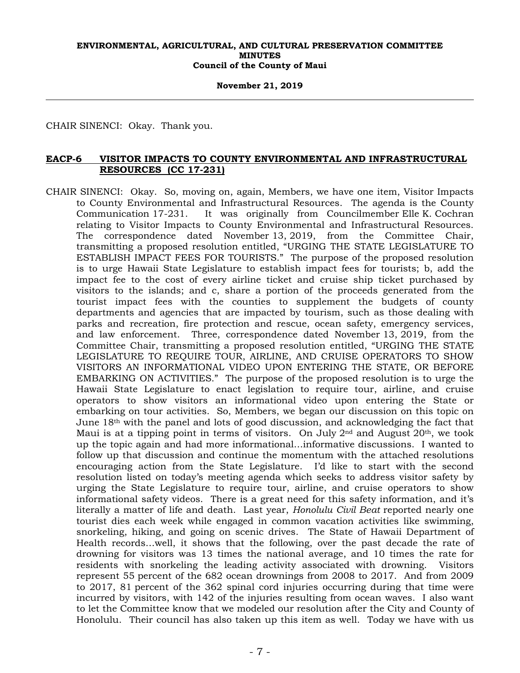**November 21, 2019** 

CHAIR SINENCI: Okay. Thank you.

# **EACP-6 VISITOR IMPACTS TO COUNTY ENVIRONMENTAL AND INFRASTRUCTURAL RESOURCES (CC 17-231)**

CHAIR SINENCI: Okay. So, moving on, again, Members, we have one item, Visitor Impacts to County Environmental and Infrastructural Resources. The agenda is the County Communication 17-231. It was originally from Councilmember Elle K. Cochran relating to Visitor Impacts to County Environmental and Infrastructural Resources. The correspondence dated November 13, 2019, from the Committee Chair, transmitting a proposed resolution entitled, "URGING THE STATE LEGISLATURE TO ESTABLISH IMPACT FEES FOR TOURISTS." The purpose of the proposed resolution is to urge Hawaii State Legislature to establish impact fees for tourists; b, add the impact fee to the cost of every airline ticket and cruise ship ticket purchased by visitors to the islands; and c, share a portion of the proceeds generated from the tourist impact fees with the counties to supplement the budgets of county departments and agencies that are impacted by tourism, such as those dealing with parks and recreation, fire protection and rescue, ocean safety, emergency services, and law enforcement. Three, correspondence dated November 13, 2019, from the Committee Chair, transmitting a proposed resolution entitled, "URGING THE STATE LEGISLATURE TO REQUIRE TOUR, AIRLINE, AND CRUISE OPERATORS TO SHOW VISITORS AN INFORMATIONAL VIDEO UPON ENTERING THE STATE, OR BEFORE EMBARKING ON ACTIVITIES." The purpose of the proposed resolution is to urge the Hawaii State Legislature to enact legislation to require tour, airline, and cruise operators to show visitors an informational video upon entering the State or embarking on tour activities. So, Members, we began our discussion on this topic on June  $18<sup>th</sup>$  with the panel and lots of good discussion, and acknowledging the fact that Maui is at a tipping point in terms of visitors. On July  $2<sup>nd</sup>$  and August  $20<sup>th</sup>$ , we took up the topic again and had more informational…informative discussions. I wanted to follow up that discussion and continue the momentum with the attached resolutions encouraging action from the State Legislature. I'd like to start with the second resolution listed on today's meeting agenda which seeks to address visitor safety by urging the State Legislature to require tour, airline, and cruise operators to show informational safety videos. There is a great need for this safety information, and it's literally a matter of life and death. Last year, *Honolulu Civil Beat* reported nearly one tourist dies each week while engaged in common vacation activities like swimming, snorkeling, hiking, and going on scenic drives. The State of Hawaii Department of Health records…well, it shows that the following, over the past decade the rate of drowning for visitors was 13 times the national average, and 10 times the rate for residents with snorkeling the leading activity associated with drowning. Visitors represent 55 percent of the 682 ocean drownings from 2008 to 2017. And from 2009 to 2017, 81 percent of the 362 spinal cord injuries occurring during that time were incurred by visitors, with 142 of the injuries resulting from ocean waves. I also want to let the Committee know that we modeled our resolution after the City and County of Honolulu. Their council has also taken up this item as well. Today we have with us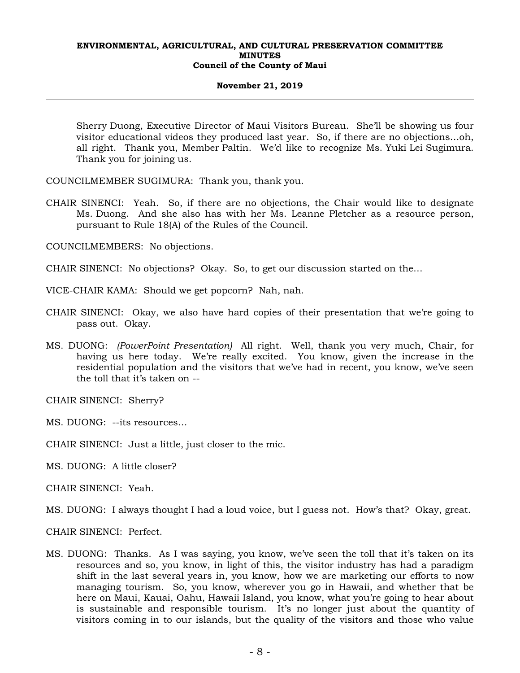#### **November 21, 2019**

Sherry Duong, Executive Director of Maui Visitors Bureau. She'll be showing us four visitor educational videos they produced last year. So, if there are no objections…oh, all right. Thank you, Member Paltin. We'd like to recognize Ms. Yuki Lei Sugimura. Thank you for joining us.

COUNCILMEMBER SUGIMURA: Thank you, thank you.

CHAIR SINENCI: Yeah. So, if there are no objections, the Chair would like to designate Ms. Duong. And she also has with her Ms. Leanne Pletcher as a resource person, pursuant to Rule 18(A) of the Rules of the Council.

COUNCILMEMBERS: No objections.

CHAIR SINENCI: No objections? Okay. So, to get our discussion started on the…

VICE-CHAIR KAMA: Should we get popcorn? Nah, nah.

- CHAIR SINENCI: Okay, we also have hard copies of their presentation that we're going to pass out. Okay.
- MS. DUONG: *(PowerPoint Presentation)* All right. Well, thank you very much, Chair, for having us here today. We're really excited. You know, given the increase in the residential population and the visitors that we've had in recent, you know, we've seen the toll that it's taken on --

CHAIR SINENCI: Sherry?

MS. DUONG: --its resources…

CHAIR SINENCI: Just a little, just closer to the mic.

MS. DUONG: A little closer?

CHAIR SINENCI: Yeah.

MS. DUONG: I always thought I had a loud voice, but I guess not. How's that? Okay, great.

CHAIR SINENCI: Perfect.

MS. DUONG: Thanks. As I was saying, you know, we've seen the toll that it's taken on its resources and so, you know, in light of this, the visitor industry has had a paradigm shift in the last several years in, you know, how we are marketing our efforts to now managing tourism. So, you know, wherever you go in Hawaii, and whether that be here on Maui, Kauai, Oahu, Hawaii Island, you know, what you're going to hear about is sustainable and responsible tourism. It's no longer just about the quantity of visitors coming in to our islands, but the quality of the visitors and those who value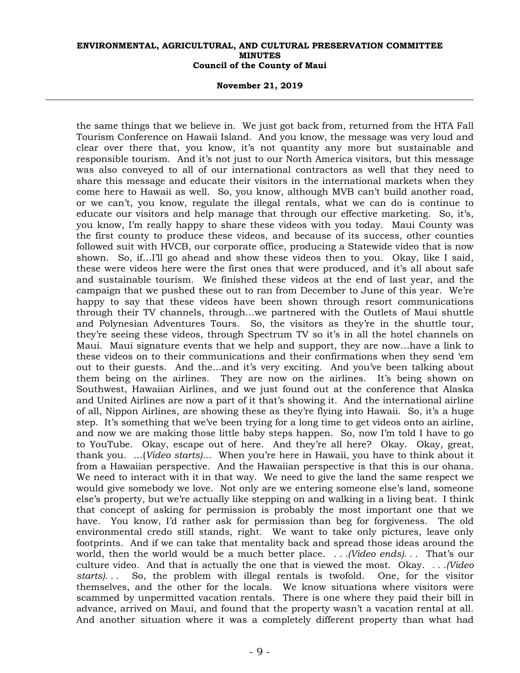#### **November 21, 2019**

the same things that we believe in. We just got back from, returned from the HTA Fall Tourism Conference on Hawaii Island. And you know, the message was very loud and clear over there that, you know, it's not quantity any more but sustainable and responsible tourism. And it's not just to our North America visitors, but this message was also conveyed to all of our international contractors as well that they need to share this message and educate their visitors in the international markets when they come here to Hawaii as well. So, you know, although MVB can't build another road, or we can't, you know, regulate the illegal rentals, what we can do is continue to educate our visitors and help manage that through our effective marketing. So, it's, you know, I'm really happy to share these videos with you today. Maui County was the first county to produce these videos, and because of its success, other counties followed suit with HVCB, our corporate office, producing a Statewide video that is now shown. So, if... I'll go ahead and show these videos then to you. Okay, like I said, these were videos here were the first ones that were produced, and it's all about safe and sustainable tourism. We finished these videos at the end of last year, and the campaign that we pushed these out to ran from December to June of this year. We're happy to say that these videos have been shown through resort communications through their TV channels, through…we partnered with the Outlets of Maui shuttle and Polynesian Adventures Tours. So, the visitors as they're in the shuttle tour, they're seeing these videos, through Spectrum TV so it's in all the hotel channels on Maui. Maui signature events that we help and support, they are now…have a link to these videos on to their communications and their confirmations when they send 'em out to their guests. And the…and it's very exciting. And you've been talking about them being on the airlines. They are now on the airlines. It's being shown on Southwest, Hawaiian Airlines, and we just found out at the conference that Alaska and United Airlines are now a part of it that's showing it. And the international airline of all, Nippon Airlines, are showing these as they're flying into Hawaii. So, it's a huge step. It's something that we've been trying for a long time to get videos onto an airline, and now we are making those little baby steps happen. So, now I'm told I have to go to YouTube. Okay, escape out of here. And they're all here? Okay. Okay, great, thank you. …(*Video starts)…* When you're here in Hawaii, you have to think about it from a Hawaiian perspective. And the Hawaiian perspective is that this is our ohana. We need to interact with it in that way. We need to give the land the same respect we would give somebody we love. Not only are we entering someone else's land, someone else's property, but we're actually like stepping on and walking in a living beat. I think that concept of asking for permission is probably the most important one that we have. You know, I'd rather ask for permission than beg for forgiveness. The old environmental credo still stands, right. We want to take only pictures, leave only footprints. And if we can take that mentality back and spread those ideas around the world, then the world would be a much better place. *. . .(Video ends). . .* That's our culture video. And that is actually the one that is viewed the most. Okay. *. . .(Video starts). . .* So, the problem with illegal rentals is twofold. One, for the visitor themselves, and the other for the locals. We know situations where visitors were scammed by unpermitted vacation rentals. There is one where they paid their bill in advance, arrived on Maui, and found that the property wasn't a vacation rental at all. And another situation where it was a completely different property than what had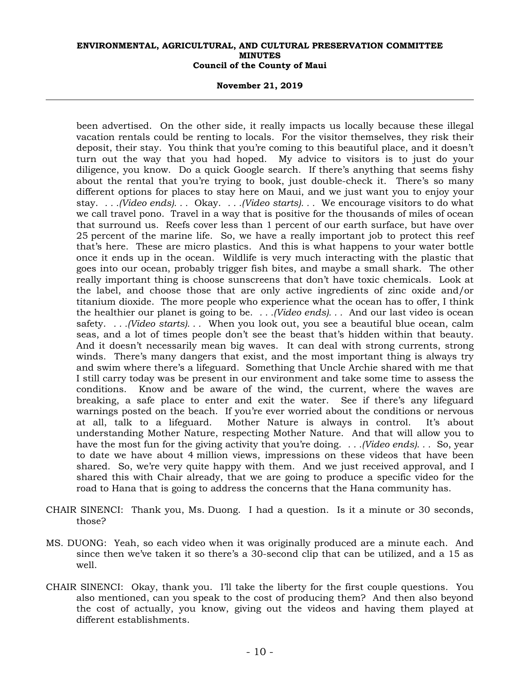#### **November 21, 2019**

been advertised. On the other side, it really impacts us locally because these illegal vacation rentals could be renting to locals. For the visitor themselves, they risk their deposit, their stay. You think that you're coming to this beautiful place, and it doesn't turn out the way that you had hoped. My advice to visitors is to just do your diligence, you know. Do a quick Google search. If there's anything that seems fishy about the rental that you're trying to book, just double-check it. There's so many different options for places to stay here on Maui, and we just want you to enjoy your stay. *. . .(Video ends). . .* Okay. *. . .(Video starts). . .* We encourage visitors to do what we call travel pono. Travel in a way that is positive for the thousands of miles of ocean that surround us. Reefs cover less than 1 percent of our earth surface, but have over 25 percent of the marine life. So, we have a really important job to protect this reef that's here. These are micro plastics. And this is what happens to your water bottle once it ends up in the ocean. Wildlife is very much interacting with the plastic that goes into our ocean, probably trigger fish bites, and maybe a small shark. The other really important thing is choose sunscreens that don't have toxic chemicals. Look at the label, and choose those that are only active ingredients of zinc oxide and/or titanium dioxide. The more people who experience what the ocean has to offer, I think the healthier our planet is going to be. *. . .(Video ends). . .* And our last video is ocean safety. *. . .(Video starts). . .* When you look out, you see a beautiful blue ocean, calm seas, and a lot of times people don't see the beast that's hidden within that beauty. And it doesn't necessarily mean big waves. It can deal with strong currents, strong winds. There's many dangers that exist, and the most important thing is always try and swim where there's a lifeguard. Something that Uncle Archie shared with me that I still carry today was be present in our environment and take some time to assess the conditions. Know and be aware of the wind, the current, where the waves are breaking, a safe place to enter and exit the water. See if there's any lifeguard warnings posted on the beach. If you're ever worried about the conditions or nervous at all, talk to a lifeguard. Mother Nature is always in control. It's about understanding Mother Nature, respecting Mother Nature. And that will allow you to have the most fun for the giving activity that you're doing. *. . .(Video ends). . .* So, year to date we have about 4 million views, impressions on these videos that have been shared. So, we're very quite happy with them. And we just received approval, and I shared this with Chair already, that we are going to produce a specific video for the road to Hana that is going to address the concerns that the Hana community has.

- CHAIR SINENCI: Thank you, Ms. Duong. I had a question. Is it a minute or 30 seconds, those?
- MS. DUONG: Yeah, so each video when it was originally produced are a minute each. And since then we've taken it so there's a 30-second clip that can be utilized, and a 15 as well.
- CHAIR SINENCI: Okay, thank you. I'll take the liberty for the first couple questions. You also mentioned, can you speak to the cost of producing them? And then also beyond the cost of actually, you know, giving out the videos and having them played at different establishments.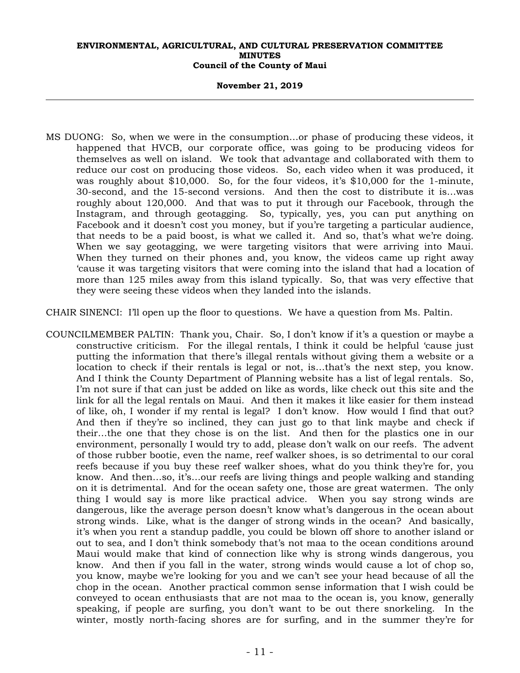#### **November 21, 2019**

MS DUONG: So, when we were in the consumption…or phase of producing these videos, it happened that HVCB, our corporate office, was going to be producing videos for themselves as well on island. We took that advantage and collaborated with them to reduce our cost on producing those videos. So, each video when it was produced, it was roughly about \$10,000. So, for the four videos, it's \$10,000 for the 1-minute, 30-second, and the 15-second versions. And then the cost to distribute it is…was roughly about 120,000. And that was to put it through our Facebook, through the Instagram, and through geotagging. So, typically, yes, you can put anything on Facebook and it doesn't cost you money, but if you're targeting a particular audience, that needs to be a paid boost, is what we called it. And so, that's what we're doing. When we say geotagging, we were targeting visitors that were arriving into Maui. When they turned on their phones and, you know, the videos came up right away 'cause it was targeting visitors that were coming into the island that had a location of more than 125 miles away from this island typically. So, that was very effective that they were seeing these videos when they landed into the islands.

CHAIR SINENCI: I'll open up the floor to questions. We have a question from Ms. Paltin.

COUNCILMEMBER PALTIN: Thank you, Chair. So, I don't know if it's a question or maybe a constructive criticism. For the illegal rentals, I think it could be helpful 'cause just putting the information that there's illegal rentals without giving them a website or a location to check if their rentals is legal or not, is…that's the next step, you know. And I think the County Department of Planning website has a list of legal rentals. So, I'm not sure if that can just be added on like as words, like check out this site and the link for all the legal rentals on Maui. And then it makes it like easier for them instead of like, oh, I wonder if my rental is legal? I don't know. How would I find that out? And then if they're so inclined, they can just go to that link maybe and check if their…the one that they chose is on the list. And then for the plastics one in our environment, personally I would try to add, please don't walk on our reefs. The advent of those rubber bootie, even the name, reef walker shoes, is so detrimental to our coral reefs because if you buy these reef walker shoes, what do you think they're for, you know. And then…so, it's…our reefs are living things and people walking and standing on it is detrimental. And for the ocean safety one, those are great watermen. The only thing I would say is more like practical advice. When you say strong winds are dangerous, like the average person doesn't know what's dangerous in the ocean about strong winds. Like, what is the danger of strong winds in the ocean? And basically, it's when you rent a standup paddle, you could be blown off shore to another island or out to sea, and I don't think somebody that's not maa to the ocean conditions around Maui would make that kind of connection like why is strong winds dangerous, you know. And then if you fall in the water, strong winds would cause a lot of chop so, you know, maybe we're looking for you and we can't see your head because of all the chop in the ocean. Another practical common sense information that I wish could be conveyed to ocean enthusiasts that are not maa to the ocean is, you know, generally speaking, if people are surfing, you don't want to be out there snorkeling. In the winter, mostly north-facing shores are for surfing, and in the summer they're for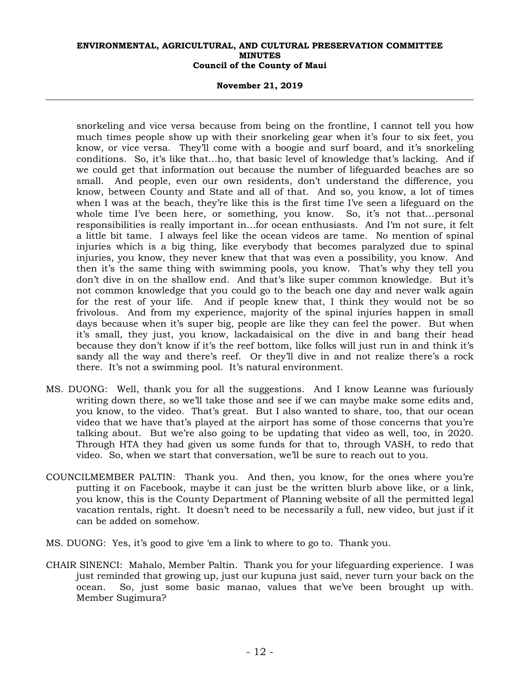#### **November 21, 2019**

snorkeling and vice versa because from being on the frontline, I cannot tell you how much times people show up with their snorkeling gear when it's four to six feet, you know, or vice versa. They'll come with a boogie and surf board, and it's snorkeling conditions. So, it's like that…ho, that basic level of knowledge that's lacking. And if we could get that information out because the number of lifeguarded beaches are so small. And people, even our own residents, don't understand the difference, you know, between County and State and all of that. And so, you know, a lot of times when I was at the beach, they're like this is the first time I've seen a lifeguard on the whole time I've been here, or something, you know. So, it's not that…personal responsibilities is really important in…for ocean enthusiasts. And I'm not sure, it felt a little bit tame. I always feel like the ocean videos are tame. No mention of spinal injuries which is a big thing, like everybody that becomes paralyzed due to spinal injuries, you know, they never knew that that was even a possibility, you know. And then it's the same thing with swimming pools, you know. That's why they tell you don't dive in on the shallow end. And that's like super common knowledge. But it's not common knowledge that you could go to the beach one day and never walk again for the rest of your life. And if people knew that, I think they would not be so frivolous. And from my experience, majority of the spinal injuries happen in small days because when it's super big, people are like they can feel the power. But when it's small, they just, you know, lackadaisical on the dive in and bang their head because they don't know if it's the reef bottom, like folks will just run in and think it's sandy all the way and there's reef. Or they'll dive in and not realize there's a rock there. It's not a swimming pool. It's natural environment.

- MS. DUONG: Well, thank you for all the suggestions. And I know Leanne was furiously writing down there, so we'll take those and see if we can maybe make some edits and, you know, to the video. That's great. But I also wanted to share, too, that our ocean video that we have that's played at the airport has some of those concerns that you're talking about. But we're also going to be updating that video as well, too, in 2020. Through HTA they had given us some funds for that to, through VASH, to redo that video. So, when we start that conversation, we'll be sure to reach out to you.
- COUNCILMEMBER PALTIN: Thank you. And then, you know, for the ones where you're putting it on Facebook, maybe it can just be the written blurb above like, or a link, you know, this is the County Department of Planning website of all the permitted legal vacation rentals, right. It doesn't need to be necessarily a full, new video, but just if it can be added on somehow.
- MS. DUONG: Yes, it's good to give 'em a link to where to go to. Thank you.
- CHAIR SINENCI: Mahalo, Member Paltin. Thank you for your lifeguarding experience. I was just reminded that growing up, just our kupuna just said, never turn your back on the ocean. So, just some basic manao, values that we've been brought up with. Member Sugimura?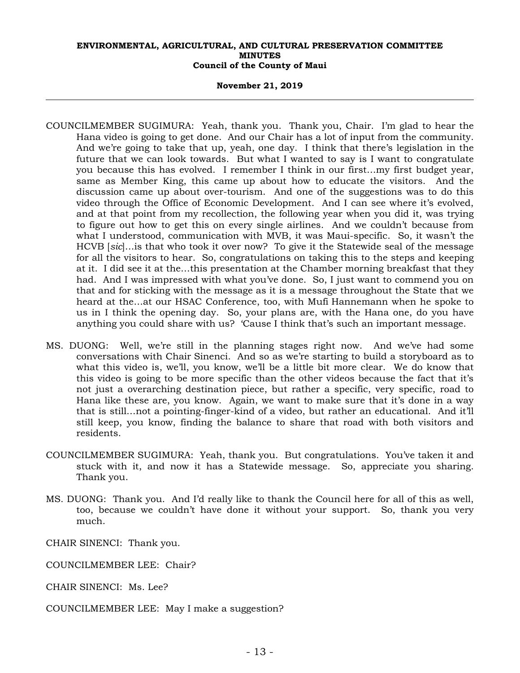#### **November 21, 2019**

- COUNCILMEMBER SUGIMURA: Yeah, thank you. Thank you, Chair. I'm glad to hear the Hana video is going to get done. And our Chair has a lot of input from the community. And we're going to take that up, yeah, one day. I think that there's legislation in the future that we can look towards. But what I wanted to say is I want to congratulate you because this has evolved. I remember I think in our first…my first budget year, same as Member King, this came up about how to educate the visitors. And the discussion came up about over-tourism. And one of the suggestions was to do this video through the Office of Economic Development. And I can see where it's evolved, and at that point from my recollection, the following year when you did it, was trying to figure out how to get this on every single airlines. And we couldn't because from what I understood, communication with MVB, it was Maui-specific. So, it wasn't the HCVB [*sic*]…is that who took it over now? To give it the Statewide seal of the message for all the visitors to hear. So, congratulations on taking this to the steps and keeping at it. I did see it at the…this presentation at the Chamber morning breakfast that they had. And I was impressed with what you've done. So, I just want to commend you on that and for sticking with the message as it is a message throughout the State that we heard at the…at our HSAC Conference, too, with Mufi Hannemann when he spoke to us in I think the opening day. So, your plans are, with the Hana one, do you have anything you could share with us? 'Cause I think that's such an important message.
- MS. DUONG: Well, we're still in the planning stages right now. And we've had some conversations with Chair Sinenci. And so as we're starting to build a storyboard as to what this video is, we'll, you know, we'll be a little bit more clear. We do know that this video is going to be more specific than the other videos because the fact that it's not just a overarching destination piece, but rather a specific, very specific, road to Hana like these are, you know. Again, we want to make sure that it's done in a way that is still…not a pointing-finger-kind of a video, but rather an educational. And it'll still keep, you know, finding the balance to share that road with both visitors and residents.
- COUNCILMEMBER SUGIMURA: Yeah, thank you. But congratulations. You've taken it and stuck with it, and now it has a Statewide message. So, appreciate you sharing. Thank you.
- MS. DUONG: Thank you. And I'd really like to thank the Council here for all of this as well, too, because we couldn't have done it without your support. So, thank you very much.
- CHAIR SINENCI: Thank you.
- COUNCILMEMBER LEE: Chair?
- CHAIR SINENCI: Ms. Lee?
- COUNCILMEMBER LEE: May I make a suggestion?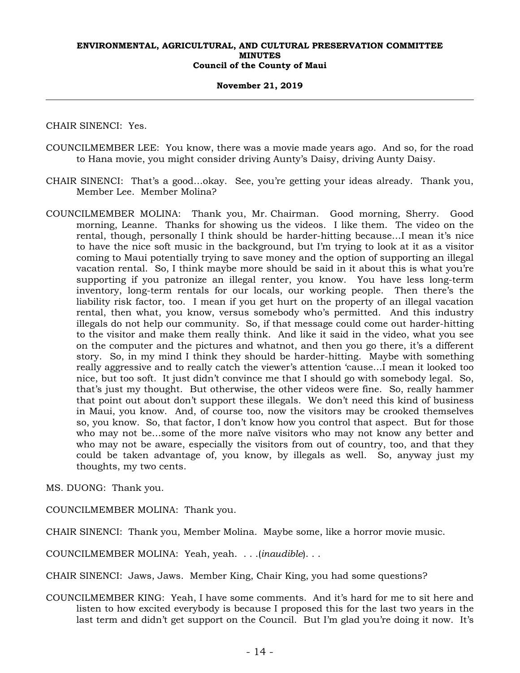#### **November 21, 2019**

CHAIR SINENCI: Yes.

- COUNCILMEMBER LEE: You know, there was a movie made years ago. And so, for the road to Hana movie, you might consider driving Aunty's Daisy, driving Aunty Daisy.
- CHAIR SINENCI: That's a good…okay. See, you're getting your ideas already. Thank you, Member Lee. Member Molina?
- COUNCILMEMBER MOLINA: Thank you, Mr. Chairman. Good morning, Sherry. Good morning, Leanne. Thanks for showing us the videos. I like them. The video on the rental, though, personally I think should be harder-hitting because…I mean it's nice to have the nice soft music in the background, but I'm trying to look at it as a visitor coming to Maui potentially trying to save money and the option of supporting an illegal vacation rental. So, I think maybe more should be said in it about this is what you're supporting if you patronize an illegal renter, you know. You have less long-term inventory, long-term rentals for our locals, our working people. Then there's the liability risk factor, too. I mean if you get hurt on the property of an illegal vacation rental, then what, you know, versus somebody who's permitted. And this industry illegals do not help our community. So, if that message could come out harder-hitting to the visitor and make them really think. And like it said in the video, what you see on the computer and the pictures and whatnot, and then you go there, it's a different story. So, in my mind I think they should be harder-hitting. Maybe with something really aggressive and to really catch the viewer's attention 'cause…I mean it looked too nice, but too soft. It just didn't convince me that I should go with somebody legal. So, that's just my thought. But otherwise, the other videos were fine. So, really hammer that point out about don't support these illegals. We don't need this kind of business in Maui, you know. And, of course too, now the visitors may be crooked themselves so, you know. So, that factor, I don't know how you control that aspect. But for those who may not be…some of the more naïve visitors who may not know any better and who may not be aware, especially the visitors from out of country, too, and that they could be taken advantage of, you know, by illegals as well. So, anyway just my thoughts, my two cents.

MS. DUONG: Thank you.

COUNCILMEMBER MOLINA: Thank you.

CHAIR SINENCI: Thank you, Member Molina. Maybe some, like a horror movie music.

COUNCILMEMBER MOLINA: Yeah, yeah. . . .(*inaudible*). . .

CHAIR SINENCI: Jaws, Jaws. Member King, Chair King, you had some questions?

COUNCILMEMBER KING: Yeah, I have some comments. And it's hard for me to sit here and listen to how excited everybody is because I proposed this for the last two years in the last term and didn't get support on the Council. But I'm glad you're doing it now. It's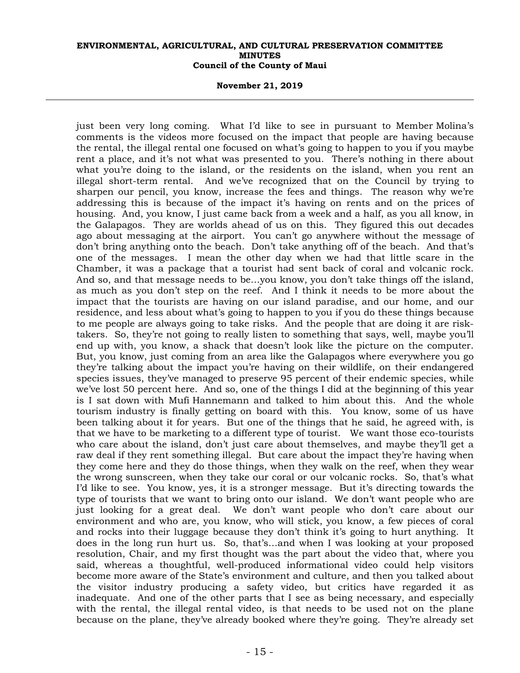#### **November 21, 2019**

just been very long coming. What I'd like to see in pursuant to Member Molina's comments is the videos more focused on the impact that people are having because the rental, the illegal rental one focused on what's going to happen to you if you maybe rent a place, and it's not what was presented to you. There's nothing in there about what you're doing to the island, or the residents on the island, when you rent an illegal short-term rental. And we've recognized that on the Council by trying to sharpen our pencil, you know, increase the fees and things. The reason why we're addressing this is because of the impact it's having on rents and on the prices of housing. And, you know, I just came back from a week and a half, as you all know, in the Galapagos. They are worlds ahead of us on this. They figured this out decades ago about messaging at the airport. You can't go anywhere without the message of don't bring anything onto the beach. Don't take anything off of the beach. And that's one of the messages. I mean the other day when we had that little scare in the Chamber, it was a package that a tourist had sent back of coral and volcanic rock. And so, and that message needs to be…you know, you don't take things off the island, as much as you don't step on the reef. And I think it needs to be more about the impact that the tourists are having on our island paradise, and our home, and our residence, and less about what's going to happen to you if you do these things because to me people are always going to take risks. And the people that are doing it are risktakers. So, they're not going to really listen to something that says, well, maybe you'll end up with, you know, a shack that doesn't look like the picture on the computer. But, you know, just coming from an area like the Galapagos where everywhere you go they're talking about the impact you're having on their wildlife, on their endangered species issues, they've managed to preserve 95 percent of their endemic species, while we've lost 50 percent here. And so, one of the things I did at the beginning of this year is I sat down with Mufi Hannemann and talked to him about this. And the whole tourism industry is finally getting on board with this. You know, some of us have been talking about it for years. But one of the things that he said, he agreed with, is that we have to be marketing to a different type of tourist. We want those eco-tourists who care about the island, don't just care about themselves, and maybe they'll get a raw deal if they rent something illegal. But care about the impact they're having when they come here and they do those things, when they walk on the reef, when they wear the wrong sunscreen, when they take our coral or our volcanic rocks. So, that's what I'd like to see. You know, yes, it is a stronger message. But it's directing towards the type of tourists that we want to bring onto our island. We don't want people who are just looking for a great deal. We don't want people who don't care about our environment and who are, you know, who will stick, you know, a few pieces of coral and rocks into their luggage because they don't think it's going to hurt anything. It does in the long run hurt us. So, that's…and when I was looking at your proposed resolution, Chair, and my first thought was the part about the video that, where you said, whereas a thoughtful, well-produced informational video could help visitors become more aware of the State's environment and culture, and then you talked about the visitor industry producing a safety video, but critics have regarded it as inadequate. And one of the other parts that I see as being necessary, and especially with the rental, the illegal rental video, is that needs to be used not on the plane because on the plane, they've already booked where they're going. They're already set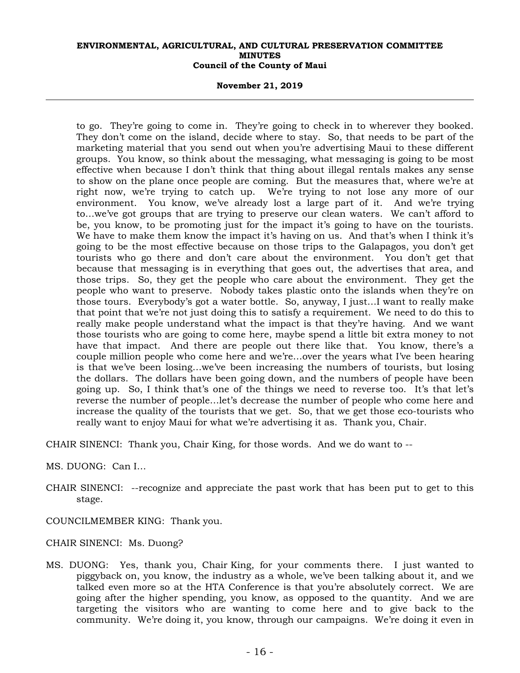#### **November 21, 2019**

to go. They're going to come in. They're going to check in to wherever they booked. They don't come on the island, decide where to stay. So, that needs to be part of the marketing material that you send out when you're advertising Maui to these different groups. You know, so think about the messaging, what messaging is going to be most effective when because I don't think that thing about illegal rentals makes any sense to show on the plane once people are coming. But the measures that, where we're at right now, we're trying to catch up. We're trying to not lose any more of our environment. You know, we've already lost a large part of it. And we're trying to…we've got groups that are trying to preserve our clean waters. We can't afford to be, you know, to be promoting just for the impact it's going to have on the tourists. We have to make them know the impact it's having on us. And that's when I think it's going to be the most effective because on those trips to the Galapagos, you don't get tourists who go there and don't care about the environment. You don't get that because that messaging is in everything that goes out, the advertises that area, and those trips. So, they get the people who care about the environment. They get the people who want to preserve. Nobody takes plastic onto the islands when they're on those tours. Everybody's got a water bottle. So, anyway, I just…I want to really make that point that we're not just doing this to satisfy a requirement. We need to do this to really make people understand what the impact is that they're having. And we want those tourists who are going to come here, maybe spend a little bit extra money to not have that impact. And there are people out there like that. You know, there's a couple million people who come here and we're…over the years what I've been hearing is that we've been losing…we've been increasing the numbers of tourists, but losing the dollars. The dollars have been going down, and the numbers of people have been going up. So, I think that's one of the things we need to reverse too. It's that let's reverse the number of people…let's decrease the number of people who come here and increase the quality of the tourists that we get. So, that we get those eco-tourists who really want to enjoy Maui for what we're advertising it as. Thank you, Chair.

CHAIR SINENCI: Thank you, Chair King, for those words. And we do want to --

MS. DUONG: Can I…

- CHAIR SINENCI: --recognize and appreciate the past work that has been put to get to this stage.
- COUNCILMEMBER KING: Thank you.

CHAIR SINENCI: Ms. Duong?

MS. DUONG: Yes, thank you, Chair King, for your comments there. I just wanted to piggyback on, you know, the industry as a whole, we've been talking about it, and we talked even more so at the HTA Conference is that you're absolutely correct. We are going after the higher spending, you know, as opposed to the quantity. And we are targeting the visitors who are wanting to come here and to give back to the community. We're doing it, you know, through our campaigns. We're doing it even in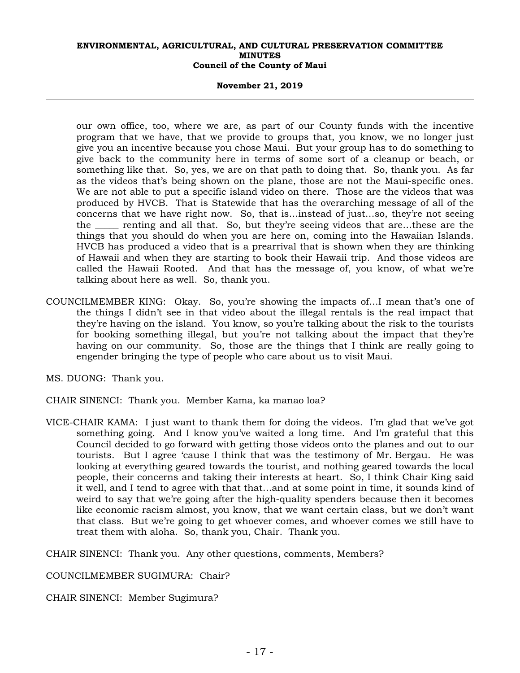#### **November 21, 2019**

our own office, too, where we are, as part of our County funds with the incentive program that we have, that we provide to groups that, you know, we no longer just give you an incentive because you chose Maui. But your group has to do something to give back to the community here in terms of some sort of a cleanup or beach, or something like that. So, yes, we are on that path to doing that. So, thank you. As far as the videos that's being shown on the plane, those are not the Maui-specific ones. We are not able to put a specific island video on there. Those are the videos that was produced by HVCB. That is Statewide that has the overarching message of all of the concerns that we have right now. So, that is…instead of just…so, they're not seeing the \_\_\_\_\_ renting and all that. So, but they're seeing videos that are…these are the things that you should do when you are here on, coming into the Hawaiian Islands. HVCB has produced a video that is a prearrival that is shown when they are thinking of Hawaii and when they are starting to book their Hawaii trip. And those videos are called the Hawaii Rooted. And that has the message of, you know, of what we're talking about here as well. So, thank you.

- COUNCILMEMBER KING: Okay. So, you're showing the impacts of…I mean that's one of the things I didn't see in that video about the illegal rentals is the real impact that they're having on the island. You know, so you're talking about the risk to the tourists for booking something illegal, but you're not talking about the impact that they're having on our community. So, those are the things that I think are really going to engender bringing the type of people who care about us to visit Maui.
- MS. DUONG: Thank you.

CHAIR SINENCI: Thank you. Member Kama, ka manao loa?

VICE-CHAIR KAMA: I just want to thank them for doing the videos. I'm glad that we've got something going. And I know you've waited a long time. And I'm grateful that this Council decided to go forward with getting those videos onto the planes and out to our tourists. But I agree 'cause I think that was the testimony of Mr. Bergau. He was looking at everything geared towards the tourist, and nothing geared towards the local people, their concerns and taking their interests at heart. So, I think Chair King said it well, and I tend to agree with that that…and at some point in time, it sounds kind of weird to say that we're going after the high-quality spenders because then it becomes like economic racism almost, you know, that we want certain class, but we don't want that class. But we're going to get whoever comes, and whoever comes we still have to treat them with aloha. So, thank you, Chair. Thank you.

CHAIR SINENCI: Thank you. Any other questions, comments, Members?

COUNCILMEMBER SUGIMURA: Chair?

CHAIR SINENCI: Member Sugimura?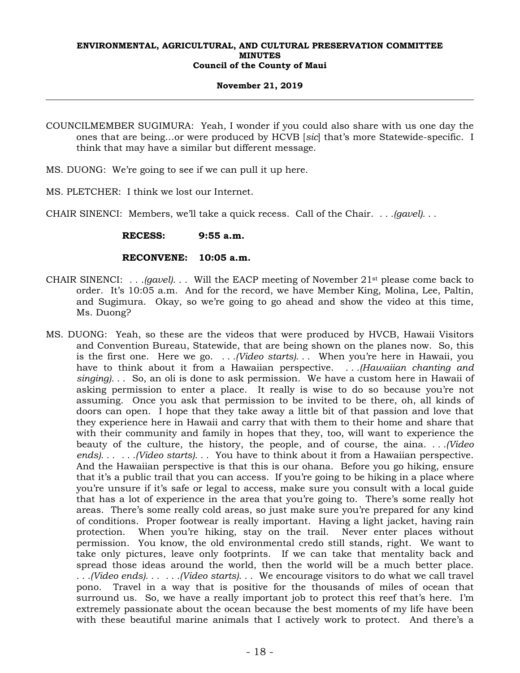#### **November 21, 2019**

COUNCILMEMBER SUGIMURA: Yeah, I wonder if you could also share with us one day the ones that are being…or were produced by HCVB [*sic*] that's more Statewide-specific. I think that may have a similar but different message.

- MS. DUONG: We're going to see if we can pull it up here.
- MS. PLETCHER: I think we lost our Internet.

CHAIR SINENCI: Members, we'll take a quick recess. Call of the Chair. *. . .(gavel). . .*

 **RECESS: 9:55 a.m.** 

### **RECONVENE: 10:05 a.m.**

- CHAIR SINENCI: *. . .(gavel). . .* Will the EACP meeting of November 21st please come back to order. It's 10:05 a.m. And for the record, we have Member King, Molina, Lee, Paltin, and Sugimura. Okay, so we're going to go ahead and show the video at this time, Ms. Duong?
- MS. DUONG: Yeah, so these are the videos that were produced by HVCB, Hawaii Visitors and Convention Bureau, Statewide, that are being shown on the planes now. So, this is the first one. Here we go. *. . .(Video starts). . .* When you're here in Hawaii, you have to think about it from a Hawaiian perspective. *. . .(Hawaiian chanting and singing). . .* So, an oli is done to ask permission. We have a custom here in Hawaii of asking permission to enter a place. It really is wise to do so because you're not assuming. Once you ask that permission to be invited to be there, oh, all kinds of doors can open. I hope that they take away a little bit of that passion and love that they experience here in Hawaii and carry that with them to their home and share that with their community and family in hopes that they, too, will want to experience the beauty of the culture, the history, the people, and of course, the aina. *. . .(Video ends). . . . . .(Video starts). . .* You have to think about it from a Hawaiian perspective. And the Hawaiian perspective is that this is our ohana. Before you go hiking, ensure that it's a public trail that you can access. If you're going to be hiking in a place where you're unsure if it's safe or legal to access, make sure you consult with a local guide that has a lot of experience in the area that you're going to. There's some really hot areas. There's some really cold areas, so just make sure you're prepared for any kind of conditions. Proper footwear is really important. Having a light jacket, having rain protection. When you're hiking, stay on the trail. Never enter places without permission. You know, the old environmental credo still stands, right. We want to take only pictures, leave only footprints. If we can take that mentality back and spread those ideas around the world, then the world will be a much better place. *. . .(Video ends). . . . . .(Video starts). . .* We encourage visitors to do what we call travel pono. Travel in a way that is positive for the thousands of miles of ocean that surround us. So, we have a really important job to protect this reef that's here. I'm extremely passionate about the ocean because the best moments of my life have been with these beautiful marine animals that I actively work to protect. And there's a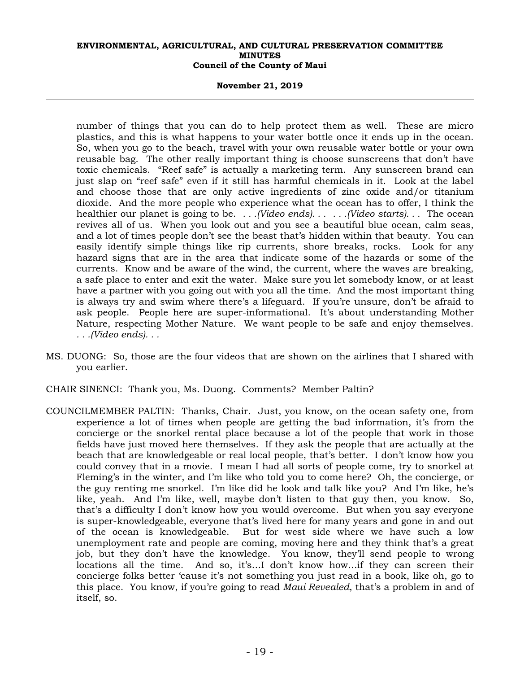#### **November 21, 2019**

number of things that you can do to help protect them as well. These are micro plastics, and this is what happens to your water bottle once it ends up in the ocean. So, when you go to the beach, travel with your own reusable water bottle or your own reusable bag. The other really important thing is choose sunscreens that don't have toxic chemicals. "Reef safe" is actually a marketing term. Any sunscreen brand can just slap on "reef safe" even if it still has harmful chemicals in it. Look at the label and choose those that are only active ingredients of zinc oxide and/or titanium dioxide. And the more people who experience what the ocean has to offer, I think the healthier our planet is going to be. *. . .(Video ends). . . . . .(Video starts). . .* The ocean revives all of us. When you look out and you see a beautiful blue ocean, calm seas, and a lot of times people don't see the beast that's hidden within that beauty. You can easily identify simple things like rip currents, shore breaks, rocks. Look for any hazard signs that are in the area that indicate some of the hazards or some of the currents. Know and be aware of the wind, the current, where the waves are breaking, a safe place to enter and exit the water. Make sure you let somebody know, or at least have a partner with you going out with you all the time. And the most important thing is always try and swim where there's a lifeguard. If you're unsure, don't be afraid to ask people. People here are super-informational. It's about understanding Mother Nature, respecting Mother Nature. We want people to be safe and enjoy themselves. *. . .(Video ends). . .*

- MS. DUONG: So, those are the four videos that are shown on the airlines that I shared with you earlier.
- CHAIR SINENCI: Thank you, Ms. Duong. Comments? Member Paltin?
- COUNCILMEMBER PALTIN: Thanks, Chair. Just, you know, on the ocean safety one, from experience a lot of times when people are getting the bad information, it's from the concierge or the snorkel rental place because a lot of the people that work in those fields have just moved here themselves. If they ask the people that are actually at the beach that are knowledgeable or real local people, that's better. I don't know how you could convey that in a movie. I mean I had all sorts of people come, try to snorkel at Fleming's in the winter, and I'm like who told you to come here? Oh, the concierge, or the guy renting me snorkel. I'm like did he look and talk like you? And I'm like, he's like, yeah. And I'm like, well, maybe don't listen to that guy then, you know. So, that's a difficulty I don't know how you would overcome. But when you say everyone is super-knowledgeable, everyone that's lived here for many years and gone in and out of the ocean is knowledgeable. But for west side where we have such a low unemployment rate and people are coming, moving here and they think that's a great job, but they don't have the knowledge. You know, they'll send people to wrong locations all the time. And so, it's…I don't know how…if they can screen their concierge folks better 'cause it's not something you just read in a book, like oh, go to this place. You know, if you're going to read *Maui Revealed*, that's a problem in and of itself, so.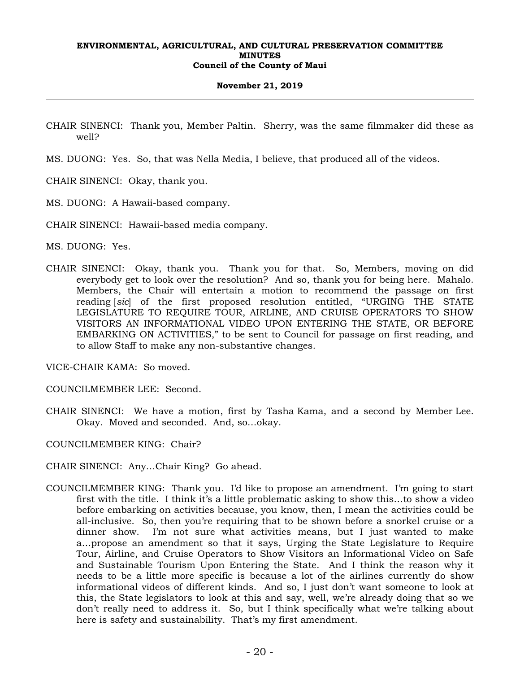#### **November 21, 2019**

- CHAIR SINENCI: Thank you, Member Paltin. Sherry, was the same filmmaker did these as well?
- MS. DUONG: Yes. So, that was Nella Media, I believe, that produced all of the videos.
- CHAIR SINENCI: Okay, thank you.
- MS. DUONG: A Hawaii-based company.
- CHAIR SINENCI: Hawaii-based media company.

MS. DUONG: Yes.

CHAIR SINENCI: Okay, thank you. Thank you for that. So, Members, moving on did everybody get to look over the resolution? And so, thank you for being here. Mahalo. Members, the Chair will entertain a motion to recommend the passage on first reading [*sic*] of the first proposed resolution entitled, "URGING THE STATE LEGISLATURE TO REQUIRE TOUR, AIRLINE, AND CRUISE OPERATORS TO SHOW VISITORS AN INFORMATIONAL VIDEO UPON ENTERING THE STATE, OR BEFORE EMBARKING ON ACTIVITIES," to be sent to Council for passage on first reading, and to allow Staff to make any non-substantive changes.

VICE-CHAIR KAMA: So moved.

- COUNCILMEMBER LEE: Second.
- CHAIR SINENCI: We have a motion, first by Tasha Kama, and a second by Member Lee. Okay. Moved and seconded. And, so…okay.
- COUNCILMEMBER KING: Chair?
- CHAIR SINENCI: Any…Chair King? Go ahead.
- COUNCILMEMBER KING: Thank you. I'd like to propose an amendment. I'm going to start first with the title. I think it's a little problematic asking to show this…to show a video before embarking on activities because, you know, then, I mean the activities could be all-inclusive. So, then you're requiring that to be shown before a snorkel cruise or a dinner show. I'm not sure what activities means, but I just wanted to make a…propose an amendment so that it says, Urging the State Legislature to Require Tour, Airline, and Cruise Operators to Show Visitors an Informational Video on Safe and Sustainable Tourism Upon Entering the State. And I think the reason why it needs to be a little more specific is because a lot of the airlines currently do show informational videos of different kinds. And so, I just don't want someone to look at this, the State legislators to look at this and say, well, we're already doing that so we don't really need to address it. So, but I think specifically what we're talking about here is safety and sustainability. That's my first amendment.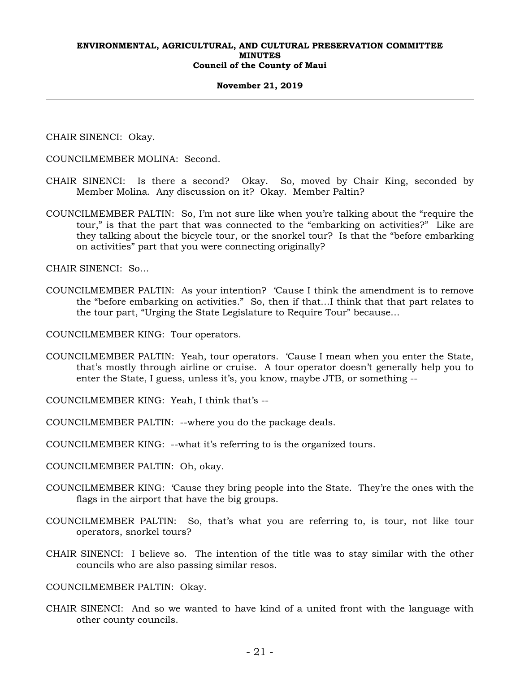#### **November 21, 2019**

CHAIR SINENCI: Okay.

COUNCILMEMBER MOLINA: Second.

- CHAIR SINENCI: Is there a second? Okay. So, moved by Chair King, seconded by Member Molina. Any discussion on it? Okay. Member Paltin?
- COUNCILMEMBER PALTIN: So, I'm not sure like when you're talking about the "require the tour," is that the part that was connected to the "embarking on activities?" Like are they talking about the bicycle tour, or the snorkel tour? Is that the "before embarking on activities" part that you were connecting originally?

CHAIR SINENCI: So…

COUNCILMEMBER PALTIN: As your intention? 'Cause I think the amendment is to remove the "before embarking on activities." So, then if that…I think that that part relates to the tour part, "Urging the State Legislature to Require Tour" because…

COUNCILMEMBER KING: Tour operators.

- COUNCILMEMBER PALTIN: Yeah, tour operators. 'Cause I mean when you enter the State, that's mostly through airline or cruise. A tour operator doesn't generally help you to enter the State, I guess, unless it's, you know, maybe JTB, or something --
- COUNCILMEMBER KING: Yeah, I think that's --
- COUNCILMEMBER PALTIN: --where you do the package deals.

COUNCILMEMBER KING: --what it's referring to is the organized tours.

- COUNCILMEMBER PALTIN: Oh, okay.
- COUNCILMEMBER KING: 'Cause they bring people into the State. They're the ones with the flags in the airport that have the big groups.
- COUNCILMEMBER PALTIN: So, that's what you are referring to, is tour, not like tour operators, snorkel tours?
- CHAIR SINENCI: I believe so. The intention of the title was to stay similar with the other councils who are also passing similar resos.

COUNCILMEMBER PALTIN: Okay.

CHAIR SINENCI: And so we wanted to have kind of a united front with the language with other county councils.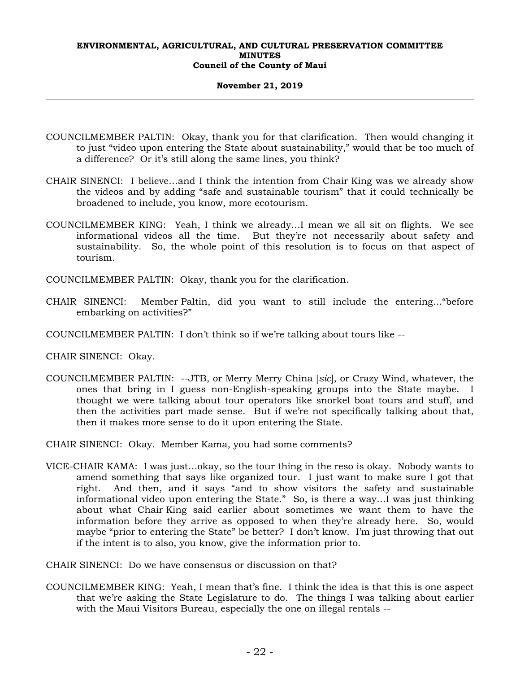#### **November 21, 2019**

- COUNCILMEMBER PALTIN: Okay, thank you for that clarification. Then would changing it to just "video upon entering the State about sustainability," would that be too much of a difference? Or it's still along the same lines, you think?
- CHAIR SINENCI: I believe…and I think the intention from Chair King was we already show the videos and by adding "safe and sustainable tourism" that it could technically be broadened to include, you know, more ecotourism.
- COUNCILMEMBER KING: Yeah, I think we already…I mean we all sit on flights. We see informational videos all the time. But they're not necessarily about safety and sustainability. So, the whole point of this resolution is to focus on that aspect of tourism.

COUNCILMEMBER PALTIN: Okay, thank you for the clarification.

- CHAIR SINENCI: Member Paltin, did you want to still include the entering…"before embarking on activities?"
- COUNCILMEMBER PALTIN: I don't think so if we're talking about tours like --
- CHAIR SINENCI: Okay.
- COUNCILMEMBER PALTIN: --JTB, or Merry Merry China [*sic*], or Crazy Wind, whatever, the ones that bring in I guess non-English-speaking groups into the State maybe. I thought we were talking about tour operators like snorkel boat tours and stuff, and then the activities part made sense. But if we're not specifically talking about that, then it makes more sense to do it upon entering the State.

CHAIR SINENCI: Okay. Member Kama, you had some comments?

VICE-CHAIR KAMA: I was just…okay, so the tour thing in the reso is okay. Nobody wants to amend something that says like organized tour. I just want to make sure I got that right. And then, and it says "and to show visitors the safety and sustainable informational video upon entering the State." So, is there a way…I was just thinking about what Chair King said earlier about sometimes we want them to have the information before they arrive as opposed to when they're already here. So, would maybe "prior to entering the State" be better? I don't know. I'm just throwing that out if the intent is to also, you know, give the information prior to.

CHAIR SINENCI: Do we have consensus or discussion on that?

COUNCILMEMBER KING: Yeah, I mean that's fine. I think the idea is that this is one aspect that we're asking the State Legislature to do. The things I was talking about earlier with the Maui Visitors Bureau, especially the one on illegal rentals --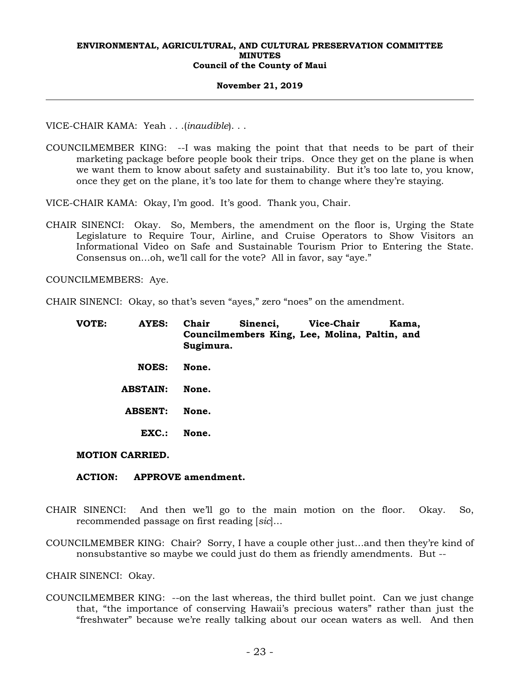#### **November 21, 2019**

VICE-CHAIR KAMA: Yeah . . .(*inaudible*). . .

COUNCILMEMBER KING: --I was making the point that that needs to be part of their marketing package before people book their trips. Once they get on the plane is when we want them to know about safety and sustainability. But it's too late to, you know, once they get on the plane, it's too late for them to change where they're staying.

VICE-CHAIR KAMA: Okay, I'm good. It's good. Thank you, Chair.

CHAIR SINENCI: Okay. So, Members, the amendment on the floor is, Urging the State Legislature to Require Tour, Airline, and Cruise Operators to Show Visitors an Informational Video on Safe and Sustainable Tourism Prior to Entering the State. Consensus on…oh, we'll call for the vote? All in favor, say "aye."

COUNCILMEMBERS: Aye.

CHAIR SINENCI: Okay, so that's seven "ayes," zero "noes" on the amendment.

| VOTE: | <b>AYES:</b>           | Chair<br>Sugimura. | Sinenci, Vice-Chair<br>Councilmembers King, Lee, Molina, Paltin, and |  | Kama, |
|-------|------------------------|--------------------|----------------------------------------------------------------------|--|-------|
|       | <b>NOES:</b>           | None.              |                                                                      |  |       |
|       | <b>ABSTAIN:</b>        | None.              |                                                                      |  |       |
|       | <b>ABSENT:</b>         | None.              |                                                                      |  |       |
|       | EXC.                   | None.              |                                                                      |  |       |
|       | <b>MOTION CARRIED.</b> |                    |                                                                      |  |       |

# **ACTION: APPROVE amendment.**

- CHAIR SINENCI: And then we'll go to the main motion on the floor. Okay. So, recommended passage on first reading [*sic*]…
- COUNCILMEMBER KING: Chair? Sorry, I have a couple other just…and then they're kind of nonsubstantive so maybe we could just do them as friendly amendments. But --

CHAIR SINENCI: Okay.

COUNCILMEMBER KING: --on the last whereas, the third bullet point. Can we just change that, "the importance of conserving Hawaii's precious waters" rather than just the "freshwater" because we're really talking about our ocean waters as well. And then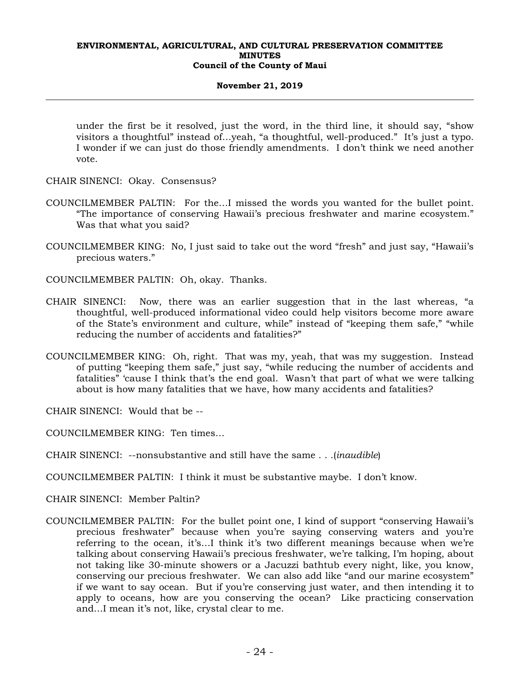#### **November 21, 2019**

under the first be it resolved, just the word, in the third line, it should say, "show visitors a thoughtful" instead of…yeah, "a thoughtful, well-produced." It's just a typo. I wonder if we can just do those friendly amendments. I don't think we need another vote.

CHAIR SINENCI: Okay. Consensus?

- COUNCILMEMBER PALTIN: For the…I missed the words you wanted for the bullet point. "The importance of conserving Hawaii's precious freshwater and marine ecosystem." Was that what you said?
- COUNCILMEMBER KING: No, I just said to take out the word "fresh" and just say, "Hawaii's precious waters."
- COUNCILMEMBER PALTIN: Oh, okay. Thanks.
- CHAIR SINENCI: Now, there was an earlier suggestion that in the last whereas, "a thoughtful, well-produced informational video could help visitors become more aware of the State's environment and culture, while" instead of "keeping them safe," "while reducing the number of accidents and fatalities?"
- COUNCILMEMBER KING: Oh, right. That was my, yeah, that was my suggestion. Instead of putting "keeping them safe," just say, "while reducing the number of accidents and fatalities" 'cause I think that's the end goal. Wasn't that part of what we were talking about is how many fatalities that we have, how many accidents and fatalities?

CHAIR SINENCI: Would that be --

COUNCILMEMBER KING: Ten times…

CHAIR SINENCI: --nonsubstantive and still have the same . . .(*inaudible*)

COUNCILMEMBER PALTIN: I think it must be substantive maybe. I don't know.

CHAIR SINENCI: Member Paltin?

COUNCILMEMBER PALTIN: For the bullet point one, I kind of support "conserving Hawaii's precious freshwater" because when you're saying conserving waters and you're referring to the ocean, it's…I think it's two different meanings because when we're talking about conserving Hawaii's precious freshwater, we're talking, I'm hoping, about not taking like 30-minute showers or a Jacuzzi bathtub every night, like, you know, conserving our precious freshwater. We can also add like "and our marine ecosystem" if we want to say ocean. But if you're conserving just water, and then intending it to apply to oceans, how are you conserving the ocean? Like practicing conservation and…I mean it's not, like, crystal clear to me.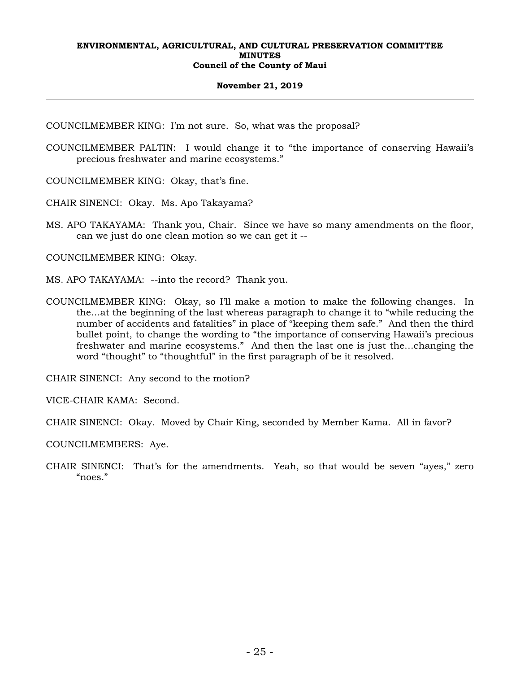#### **November 21, 2019**

COUNCILMEMBER KING: I'm not sure. So, what was the proposal?

COUNCILMEMBER PALTIN: I would change it to "the importance of conserving Hawaii's precious freshwater and marine ecosystems."

COUNCILMEMBER KING: Okay, that's fine.

CHAIR SINENCI: Okay. Ms. Apo Takayama?

MS. APO TAKAYAMA: Thank you, Chair. Since we have so many amendments on the floor, can we just do one clean motion so we can get it --

COUNCILMEMBER KING: Okay.

- MS. APO TAKAYAMA: --into the record? Thank you.
- COUNCILMEMBER KING: Okay, so I'll make a motion to make the following changes. In the…at the beginning of the last whereas paragraph to change it to "while reducing the number of accidents and fatalities" in place of "keeping them safe." And then the third bullet point, to change the wording to "the importance of conserving Hawaii's precious freshwater and marine ecosystems." And then the last one is just the…changing the word "thought" to "thoughtful" in the first paragraph of be it resolved.

CHAIR SINENCI: Any second to the motion?

VICE-CHAIR KAMA: Second.

CHAIR SINENCI: Okay. Moved by Chair King, seconded by Member Kama. All in favor?

COUNCILMEMBERS: Aye.

CHAIR SINENCI: That's for the amendments. Yeah, so that would be seven "ayes," zero "noes."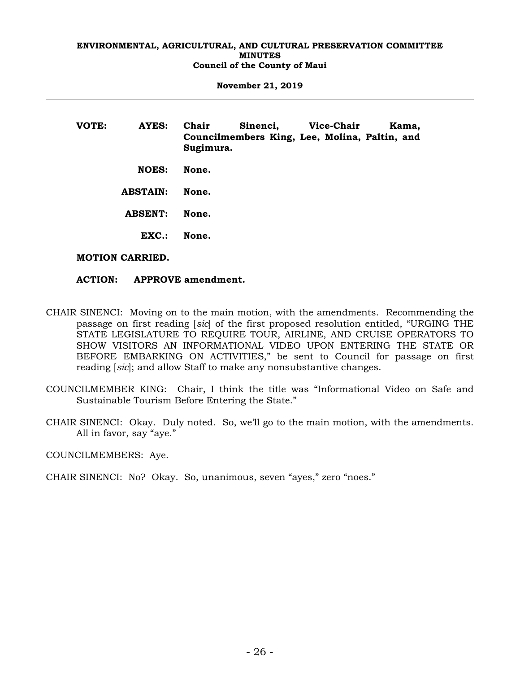**November 21, 2019** 

| VOTE: | AYES:           | Chair<br>Sugimura. | Sinenci, Vice-Chair<br>Councilmembers King, Lee, Molina, Paltin, and |  | Kama, |
|-------|-----------------|--------------------|----------------------------------------------------------------------|--|-------|
|       | <b>NOES:</b>    | None.              |                                                                      |  |       |
|       | <b>ABSTAIN:</b> | None.              |                                                                      |  |       |
|       | <b>ABSENT:</b>  | None.              |                                                                      |  |       |
|       | EXC.            | None.              |                                                                      |  |       |
|       |                 |                    |                                                                      |  |       |

# **MOTION CARRIED.**

# **ACTION: APPROVE amendment.**

- CHAIR SINENCI: Moving on to the main motion, with the amendments. Recommending the passage on first reading [*sic*] of the first proposed resolution entitled, "URGING THE STATE LEGISLATURE TO REQUIRE TOUR, AIRLINE, AND CRUISE OPERATORS TO SHOW VISITORS AN INFORMATIONAL VIDEO UPON ENTERING THE STATE OR BEFORE EMBARKING ON ACTIVITIES," be sent to Council for passage on first reading [*sic*]; and allow Staff to make any nonsubstantive changes.
- COUNCILMEMBER KING: Chair, I think the title was "Informational Video on Safe and Sustainable Tourism Before Entering the State."
- CHAIR SINENCI: Okay. Duly noted. So, we'll go to the main motion, with the amendments. All in favor, say "aye."

COUNCILMEMBERS: Aye.

CHAIR SINENCI: No? Okay. So, unanimous, seven "ayes," zero "noes."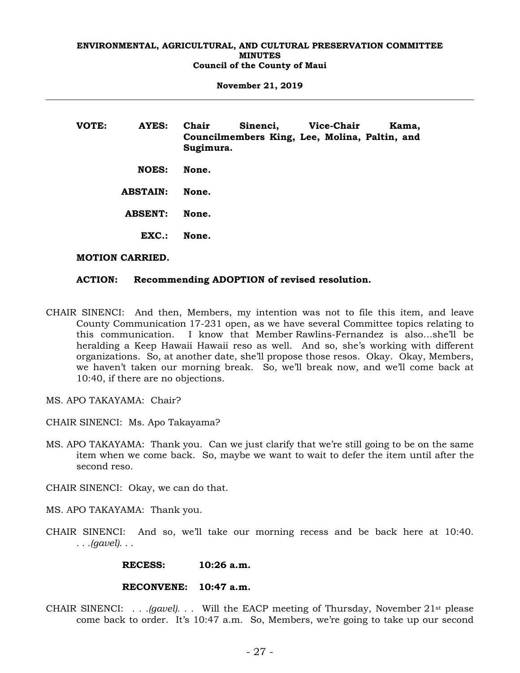**November 21, 2019** 

| VOTE: | AYES:           | Chair<br>Sugimura. | Sinenci, Vice-Chair<br>Councilmembers King, Lee, Molina, Paltin, and |  | Kama, |
|-------|-----------------|--------------------|----------------------------------------------------------------------|--|-------|
|       | <b>NOES:</b>    | None.              |                                                                      |  |       |
|       | <b>ABSTAIN:</b> | None.              |                                                                      |  |       |
|       | <b>ABSENT:</b>  | None.              |                                                                      |  |       |
|       | EXC.            | None.              |                                                                      |  |       |
|       |                 |                    |                                                                      |  |       |

# **MOTION CARRIED.**

#### **ACTION: Recommending ADOPTION of revised resolution.**

- CHAIR SINENCI: And then, Members, my intention was not to file this item, and leave County Communication 17-231 open, as we have several Committee topics relating to this communication. I know that Member Rawlins-Fernandez is also…she'll be heralding a Keep Hawaii Hawaii reso as well. And so, she's working with different organizations. So, at another date, she'll propose those resos. Okay. Okay, Members, we haven't taken our morning break. So, we'll break now, and we'll come back at 10:40, if there are no objections.
- MS. APO TAKAYAMA: Chair?
- CHAIR SINENCI: Ms. Apo Takayama?
- MS. APO TAKAYAMA: Thank you. Can we just clarify that we're still going to be on the same item when we come back. So, maybe we want to wait to defer the item until after the second reso.

CHAIR SINENCI: Okay, we can do that.

- MS. APO TAKAYAMA: Thank you.
- CHAIR SINENCI: And so, we'll take our morning recess and be back here at 10:40. *. . .(gavel). . .*

#### **RECESS: 10:26 a.m.**

### **RECONVENE: 10:47 a.m.**

CHAIR SINENCI: *. . .(gavel). . .* Will the EACP meeting of Thursday, November 21st please come back to order. It's 10:47 a.m. So, Members, we're going to take up our second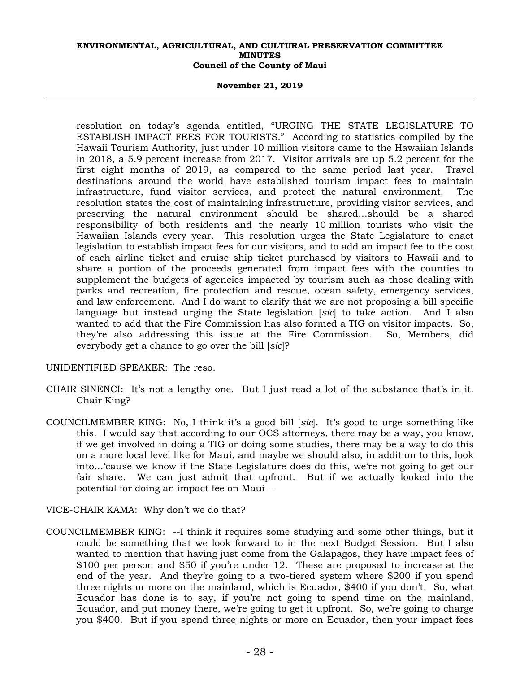#### **November 21, 2019**

resolution on today's agenda entitled, "URGING THE STATE LEGISLATURE TO ESTABLISH IMPACT FEES FOR TOURISTS." According to statistics compiled by the Hawaii Tourism Authority, just under 10 million visitors came to the Hawaiian Islands in 2018, a 5.9 percent increase from 2017. Visitor arrivals are up 5.2 percent for the first eight months of 2019, as compared to the same period last year. Travel destinations around the world have established tourism impact fees to maintain infrastructure, fund visitor services, and protect the natural environment. The resolution states the cost of maintaining infrastructure, providing visitor services, and preserving the natural environment should be shared…should be a shared responsibility of both residents and the nearly 10 million tourists who visit the Hawaiian Islands every year. This resolution urges the State Legislature to enact legislation to establish impact fees for our visitors, and to add an impact fee to the cost of each airline ticket and cruise ship ticket purchased by visitors to Hawaii and to share a portion of the proceeds generated from impact fees with the counties to supplement the budgets of agencies impacted by tourism such as those dealing with parks and recreation, fire protection and rescue, ocean safety, emergency services, and law enforcement. And I do want to clarify that we are not proposing a bill specific language but instead urging the State legislation [*sic*] to take action. And I also wanted to add that the Fire Commission has also formed a TIG on visitor impacts. So, they're also addressing this issue at the Fire Commission. So, Members, did everybody get a chance to go over the bill [*sic*]?

UNIDENTIFIED SPEAKER: The reso.

- CHAIR SINENCI: It's not a lengthy one. But I just read a lot of the substance that's in it. Chair King?
- COUNCILMEMBER KING: No, I think it's a good bill [*sic*]. It's good to urge something like this. I would say that according to our OCS attorneys, there may be a way, you know, if we get involved in doing a TIG or doing some studies, there may be a way to do this on a more local level like for Maui, and maybe we should also, in addition to this, look into…'cause we know if the State Legislature does do this, we're not going to get our fair share. We can just admit that upfront. But if we actually looked into the potential for doing an impact fee on Maui --
- VICE-CHAIR KAMA: Why don't we do that?
- COUNCILMEMBER KING: --I think it requires some studying and some other things, but it could be something that we look forward to in the next Budget Session. But I also wanted to mention that having just come from the Galapagos, they have impact fees of \$100 per person and \$50 if you're under 12. These are proposed to increase at the end of the year. And they're going to a two-tiered system where \$200 if you spend three nights or more on the mainland, which is Ecuador, \$400 if you don't. So, what Ecuador has done is to say, if you're not going to spend time on the mainland, Ecuador, and put money there, we're going to get it upfront. So, we're going to charge you \$400. But if you spend three nights or more on Ecuador, then your impact fees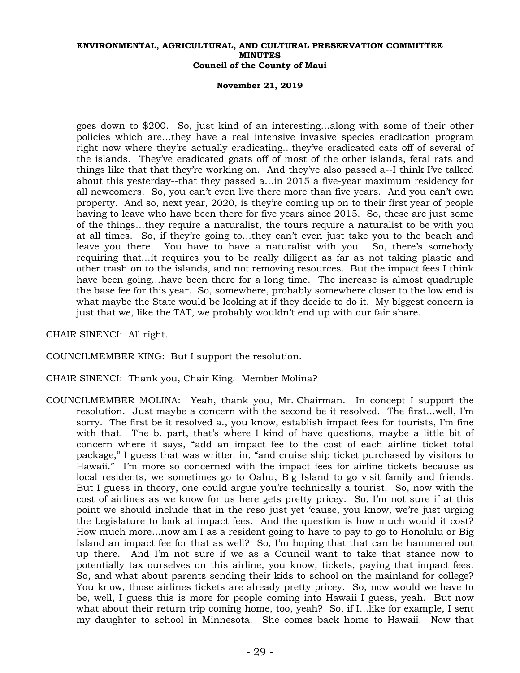#### **November 21, 2019**

goes down to \$200. So, just kind of an interesting…along with some of their other policies which are…they have a real intensive invasive species eradication program right now where they're actually eradicating…they've eradicated cats off of several of the islands. They've eradicated goats off of most of the other islands, feral rats and things like that that they're working on. And they've also passed a--I think I've talked about this yesterday--that they passed a…in 2015 a five-year maximum residency for all newcomers. So, you can't even live there more than five years. And you can't own property. And so, next year, 2020, is they're coming up on to their first year of people having to leave who have been there for five years since 2015. So, these are just some of the things…they require a naturalist, the tours require a naturalist to be with you at all times. So, if they're going to…they can't even just take you to the beach and leave you there. You have to have a naturalist with you. So, there's somebody requiring that…it requires you to be really diligent as far as not taking plastic and other trash on to the islands, and not removing resources. But the impact fees I think have been going…have been there for a long time. The increase is almost quadruple the base fee for this year. So, somewhere, probably somewhere closer to the low end is what maybe the State would be looking at if they decide to do it. My biggest concern is just that we, like the TAT, we probably wouldn't end up with our fair share.

CHAIR SINENCI: All right.

COUNCILMEMBER KING: But I support the resolution.

CHAIR SINENCI: Thank you, Chair King. Member Molina?

COUNCILMEMBER MOLINA: Yeah, thank you, Mr. Chairman. In concept I support the resolution. Just maybe a concern with the second be it resolved. The first…well, I'm sorry. The first be it resolved a., you know, establish impact fees for tourists, I'm fine with that. The b. part, that's where I kind of have questions, maybe a little bit of concern where it says, "add an impact fee to the cost of each airline ticket total package," I guess that was written in, "and cruise ship ticket purchased by visitors to Hawaii." I'm more so concerned with the impact fees for airline tickets because as local residents, we sometimes go to Oahu, Big Island to go visit family and friends. But I guess in theory, one could argue you're technically a tourist. So, now with the cost of airlines as we know for us here gets pretty pricey. So, I'm not sure if at this point we should include that in the reso just yet 'cause, you know, we're just urging the Legislature to look at impact fees. And the question is how much would it cost? How much more…now am I as a resident going to have to pay to go to Honolulu or Big Island an impact fee for that as well? So, I'm hoping that that can be hammered out up there. And I'm not sure if we as a Council want to take that stance now to potentially tax ourselves on this airline, you know, tickets, paying that impact fees. So, and what about parents sending their kids to school on the mainland for college? You know, those airlines tickets are already pretty pricey. So, now would we have to be, well, I guess this is more for people coming into Hawaii I guess, yeah. But now what about their return trip coming home, too, yeah? So, if I... like for example, I sent my daughter to school in Minnesota. She comes back home to Hawaii. Now that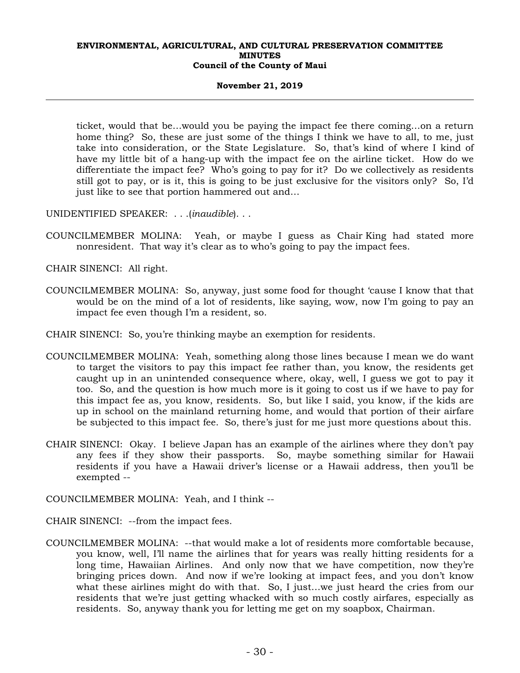#### **November 21, 2019**

ticket, would that be…would you be paying the impact fee there coming…on a return home thing? So, these are just some of the things I think we have to all, to me, just take into consideration, or the State Legislature. So, that's kind of where I kind of have my little bit of a hang-up with the impact fee on the airline ticket. How do we differentiate the impact fee? Who's going to pay for it? Do we collectively as residents still got to pay, or is it, this is going to be just exclusive for the visitors only? So, I'd just like to see that portion hammered out and…

UNIDENTIFIED SPEAKER: . . .(*inaudible*). . .

COUNCILMEMBER MOLINA: Yeah, or maybe I guess as Chair King had stated more nonresident. That way it's clear as to who's going to pay the impact fees.

CHAIR SINENCI: All right.

- COUNCILMEMBER MOLINA: So, anyway, just some food for thought 'cause I know that that would be on the mind of a lot of residents, like saying, wow, now I'm going to pay an impact fee even though I'm a resident, so.
- CHAIR SINENCI: So, you're thinking maybe an exemption for residents.
- COUNCILMEMBER MOLINA: Yeah, something along those lines because I mean we do want to target the visitors to pay this impact fee rather than, you know, the residents get caught up in an unintended consequence where, okay, well, I guess we got to pay it too. So, and the question is how much more is it going to cost us if we have to pay for this impact fee as, you know, residents. So, but like I said, you know, if the kids are up in school on the mainland returning home, and would that portion of their airfare be subjected to this impact fee. So, there's just for me just more questions about this.
- CHAIR SINENCI: Okay. I believe Japan has an example of the airlines where they don't pay any fees if they show their passports. So, maybe something similar for Hawaii residents if you have a Hawaii driver's license or a Hawaii address, then you'll be exempted --
- COUNCILMEMBER MOLINA: Yeah, and I think --
- CHAIR SINENCI: --from the impact fees.
- COUNCILMEMBER MOLINA: --that would make a lot of residents more comfortable because, you know, well, I'll name the airlines that for years was really hitting residents for a long time, Hawaiian Airlines. And only now that we have competition, now they're bringing prices down. And now if we're looking at impact fees, and you don't know what these airlines might do with that. So, I just…we just heard the cries from our residents that we're just getting whacked with so much costly airfares, especially as residents. So, anyway thank you for letting me get on my soapbox, Chairman.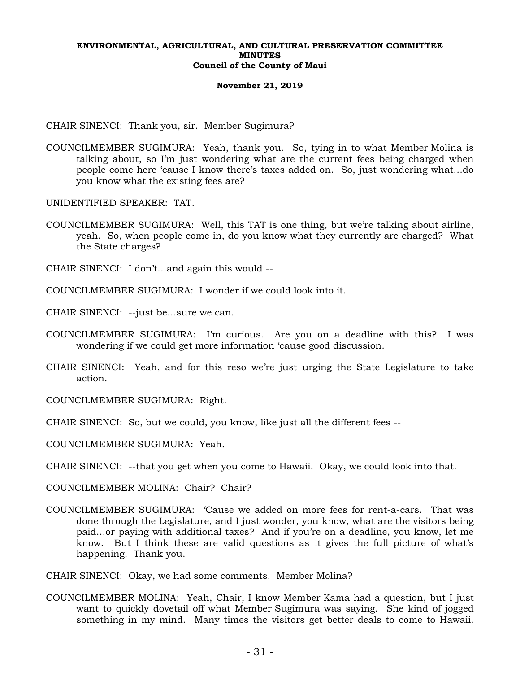#### **November 21, 2019**

CHAIR SINENCI: Thank you, sir. Member Sugimura?

COUNCILMEMBER SUGIMURA: Yeah, thank you. So, tying in to what Member Molina is talking about, so I'm just wondering what are the current fees being charged when people come here 'cause I know there's taxes added on. So, just wondering what…do you know what the existing fees are?

UNIDENTIFIED SPEAKER: TAT.

COUNCILMEMBER SUGIMURA: Well, this TAT is one thing, but we're talking about airline, yeah. So, when people come in, do you know what they currently are charged? What the State charges?

CHAIR SINENCI: I don't…and again this would --

COUNCILMEMBER SUGIMURA: I wonder if we could look into it.

CHAIR SINENCI: --just be…sure we can.

- COUNCILMEMBER SUGIMURA: I'm curious. Are you on a deadline with this? I was wondering if we could get more information 'cause good discussion.
- CHAIR SINENCI: Yeah, and for this reso we're just urging the State Legislature to take action.

COUNCILMEMBER SUGIMURA: Right.

CHAIR SINENCI: So, but we could, you know, like just all the different fees --

COUNCILMEMBER SUGIMURA: Yeah.

CHAIR SINENCI: --that you get when you come to Hawaii. Okay, we could look into that.

COUNCILMEMBER MOLINA: Chair? Chair?

COUNCILMEMBER SUGIMURA: 'Cause we added on more fees for rent-a-cars. That was done through the Legislature, and I just wonder, you know, what are the visitors being paid…or paying with additional taxes? And if you're on a deadline, you know, let me know. But I think these are valid questions as it gives the full picture of what's happening. Thank you.

CHAIR SINENCI: Okay, we had some comments. Member Molina?

COUNCILMEMBER MOLINA: Yeah, Chair, I know Member Kama had a question, but I just want to quickly dovetail off what Member Sugimura was saying. She kind of jogged something in my mind. Many times the visitors get better deals to come to Hawaii.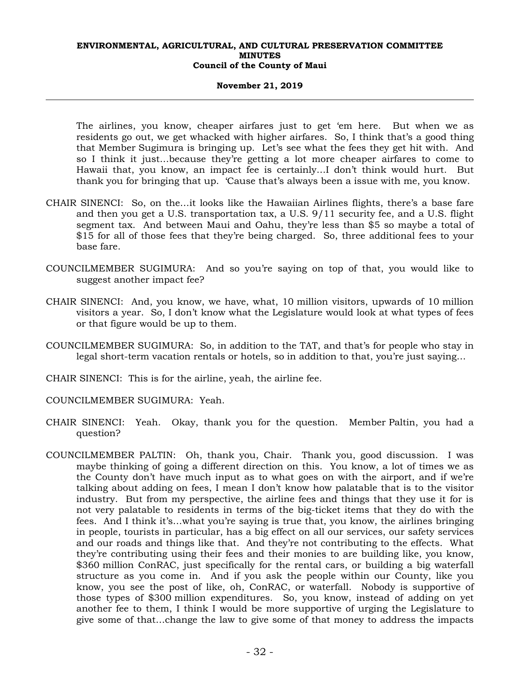#### **November 21, 2019**

The airlines, you know, cheaper airfares just to get 'em here. But when we as residents go out, we get whacked with higher airfares. So, I think that's a good thing that Member Sugimura is bringing up. Let's see what the fees they get hit with. And so I think it just…because they're getting a lot more cheaper airfares to come to Hawaii that, you know, an impact fee is certainly…I don't think would hurt. But thank you for bringing that up. 'Cause that's always been a issue with me, you know.

- CHAIR SINENCI: So, on the…it looks like the Hawaiian Airlines flights, there's a base fare and then you get a U.S. transportation tax, a U.S. 9/11 security fee, and a U.S. flight segment tax. And between Maui and Oahu, they're less than \$5 so maybe a total of \$15 for all of those fees that they're being charged. So, three additional fees to your base fare.
- COUNCILMEMBER SUGIMURA: And so you're saying on top of that, you would like to suggest another impact fee?
- CHAIR SINENCI: And, you know, we have, what, 10 million visitors, upwards of 10 million visitors a year. So, I don't know what the Legislature would look at what types of fees or that figure would be up to them.
- COUNCILMEMBER SUGIMURA: So, in addition to the TAT, and that's for people who stay in legal short-term vacation rentals or hotels, so in addition to that, you're just saying…
- CHAIR SINENCI: This is for the airline, yeah, the airline fee.
- COUNCILMEMBER SUGIMURA: Yeah.
- CHAIR SINENCI: Yeah. Okay, thank you for the question. Member Paltin, you had a question?
- COUNCILMEMBER PALTIN: Oh, thank you, Chair. Thank you, good discussion. I was maybe thinking of going a different direction on this. You know, a lot of times we as the County don't have much input as to what goes on with the airport, and if we're talking about adding on fees, I mean I don't know how palatable that is to the visitor industry. But from my perspective, the airline fees and things that they use it for is not very palatable to residents in terms of the big-ticket items that they do with the fees. And I think it's…what you're saying is true that, you know, the airlines bringing in people, tourists in particular, has a big effect on all our services, our safety services and our roads and things like that. And they're not contributing to the effects. What they're contributing using their fees and their monies to are building like, you know, \$360 million ConRAC, just specifically for the rental cars, or building a big waterfall structure as you come in. And if you ask the people within our County, like you know, you see the post of like, oh, ConRAC, or waterfall. Nobody is supportive of those types of \$300 million expenditures. So, you know, instead of adding on yet another fee to them, I think I would be more supportive of urging the Legislature to give some of that…change the law to give some of that money to address the impacts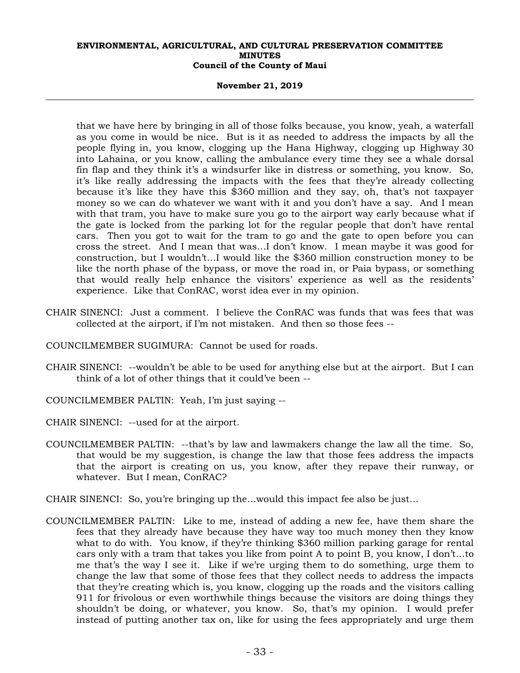#### **November 21, 2019**

that we have here by bringing in all of those folks because, you know, yeah, a waterfall as you come in would be nice. But is it as needed to address the impacts by all the people flying in, you know, clogging up the Hana Highway, clogging up Highway 30 into Lahaina, or you know, calling the ambulance every time they see a whale dorsal fin flap and they think it's a windsurfer like in distress or something, you know. So, it's like really addressing the impacts with the fees that they're already collecting because it's like they have this \$360 million and they say, oh, that's not taxpayer money so we can do whatever we want with it and you don't have a say. And I mean with that tram, you have to make sure you go to the airport way early because what if the gate is locked from the parking lot for the regular people that don't have rental cars. Then you got to wait for the tram to go and the gate to open before you can cross the street. And I mean that was…I don't know. I mean maybe it was good for construction, but I wouldn't…I would like the \$360 million construction money to be like the north phase of the bypass, or move the road in, or Paia bypass, or something that would really help enhance the visitors' experience as well as the residents' experience. Like that ConRAC, worst idea ever in my opinion.

- CHAIR SINENCI: Just a comment. I believe the ConRAC was funds that was fees that was collected at the airport, if I'm not mistaken. And then so those fees --
- COUNCILMEMBER SUGIMURA: Cannot be used for roads.
- CHAIR SINENCI: --wouldn't be able to be used for anything else but at the airport. But I can think of a lot of other things that it could've been --
- COUNCILMEMBER PALTIN: Yeah, I'm just saying --
- CHAIR SINENCI: --used for at the airport.
- COUNCILMEMBER PALTIN: --that's by law and lawmakers change the law all the time. So, that would be my suggestion, is change the law that those fees address the impacts that the airport is creating on us, you know, after they repave their runway, or whatever. But I mean, ConRAC?
- CHAIR SINENCI: So, you're bringing up the…would this impact fee also be just…
- COUNCILMEMBER PALTIN: Like to me, instead of adding a new fee, have them share the fees that they already have because they have way too much money then they know what to do with. You know, if they're thinking \$360 million parking garage for rental cars only with a tram that takes you like from point A to point B, you know, I don't…to me that's the way I see it. Like if we're urging them to do something, urge them to change the law that some of those fees that they collect needs to address the impacts that they're creating which is, you know, clogging up the roads and the visitors calling 911 for frivolous or even worthwhile things because the visitors are doing things they shouldn't be doing, or whatever, you know. So, that's my opinion. I would prefer instead of putting another tax on, like for using the fees appropriately and urge them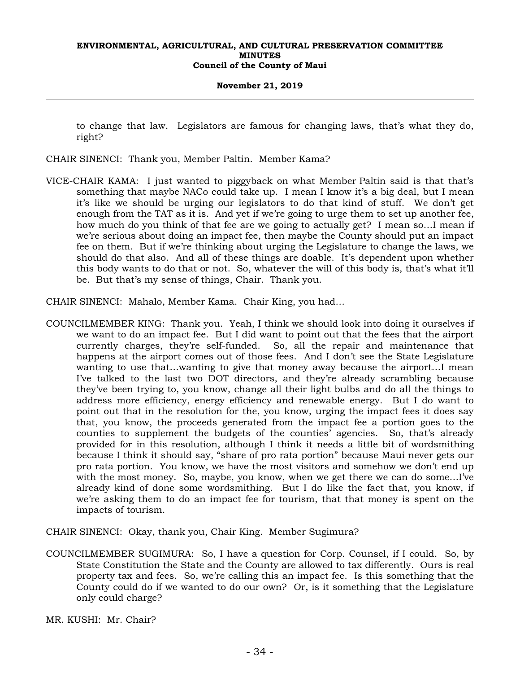#### **November 21, 2019**

to change that law. Legislators are famous for changing laws, that's what they do, right?

CHAIR SINENCI: Thank you, Member Paltin. Member Kama?

- VICE-CHAIR KAMA: I just wanted to piggyback on what Member Paltin said is that that's something that maybe NACo could take up. I mean I know it's a big deal, but I mean it's like we should be urging our legislators to do that kind of stuff. We don't get enough from the TAT as it is. And yet if we're going to urge them to set up another fee, how much do you think of that fee are we going to actually get? I mean so…I mean if we're serious about doing an impact fee, then maybe the County should put an impact fee on them. But if we're thinking about urging the Legislature to change the laws, we should do that also. And all of these things are doable. It's dependent upon whether this body wants to do that or not. So, whatever the will of this body is, that's what it'll be. But that's my sense of things, Chair. Thank you.
- CHAIR SINENCI: Mahalo, Member Kama. Chair King, you had…
- COUNCILMEMBER KING: Thank you. Yeah, I think we should look into doing it ourselves if we want to do an impact fee. But I did want to point out that the fees that the airport currently charges, they're self-funded. So, all the repair and maintenance that happens at the airport comes out of those fees. And I don't see the State Legislature wanting to use that…wanting to give that money away because the airport…I mean I've talked to the last two DOT directors, and they're already scrambling because they've been trying to, you know, change all their light bulbs and do all the things to address more efficiency, energy efficiency and renewable energy. But I do want to point out that in the resolution for the, you know, urging the impact fees it does say that, you know, the proceeds generated from the impact fee a portion goes to the counties to supplement the budgets of the counties' agencies. So, that's already provided for in this resolution, although I think it needs a little bit of wordsmithing because I think it should say, "share of pro rata portion" because Maui never gets our pro rata portion. You know, we have the most visitors and somehow we don't end up with the most money. So, maybe, you know, when we get there we can do some…I've already kind of done some wordsmithing. But I do like the fact that, you know, if we're asking them to do an impact fee for tourism, that that money is spent on the impacts of tourism.

CHAIR SINENCI: Okay, thank you, Chair King. Member Sugimura?

COUNCILMEMBER SUGIMURA: So, I have a question for Corp. Counsel, if I could. So, by State Constitution the State and the County are allowed to tax differently. Ours is real property tax and fees. So, we're calling this an impact fee. Is this something that the County could do if we wanted to do our own? Or, is it something that the Legislature only could charge?

MR. KUSHI: Mr. Chair?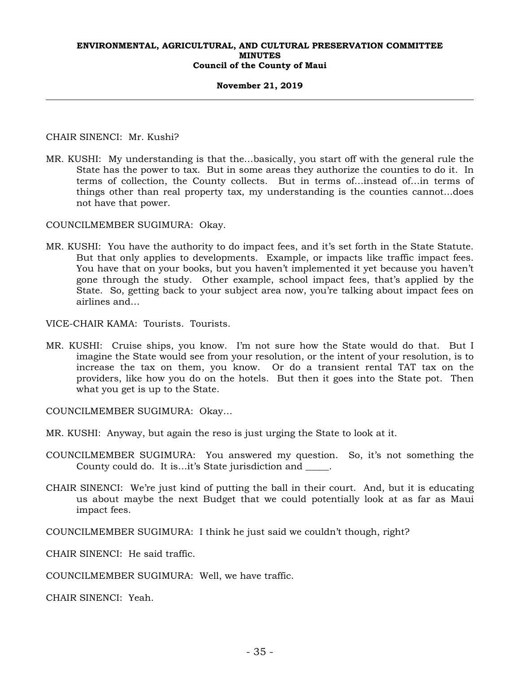#### **November 21, 2019**

CHAIR SINENCI: Mr. Kushi?

MR. KUSHI: My understanding is that the…basically, you start off with the general rule the State has the power to tax. But in some areas they authorize the counties to do it. In terms of collection, the County collects. But in terms of…instead of…in terms of things other than real property tax, my understanding is the counties cannot…does not have that power.

COUNCILMEMBER SUGIMURA: Okay.

MR. KUSHI: You have the authority to do impact fees, and it's set forth in the State Statute. But that only applies to developments. Example, or impacts like traffic impact fees. You have that on your books, but you haven't implemented it yet because you haven't gone through the study. Other example, school impact fees, that's applied by the State. So, getting back to your subject area now, you're talking about impact fees on airlines and…

VICE-CHAIR KAMA: Tourists. Tourists.

MR. KUSHI: Cruise ships, you know. I'm not sure how the State would do that. But I imagine the State would see from your resolution, or the intent of your resolution, is to increase the tax on them, you know. Or do a transient rental TAT tax on the providers, like how you do on the hotels. But then it goes into the State pot. Then what you get is up to the State.

COUNCILMEMBER SUGIMURA: Okay…

- MR. KUSHI: Anyway, but again the reso is just urging the State to look at it.
- COUNCILMEMBER SUGIMURA: You answered my question. So, it's not something the County could do. It is…it's State jurisdiction and \_\_\_\_\_.
- CHAIR SINENCI: We're just kind of putting the ball in their court. And, but it is educating us about maybe the next Budget that we could potentially look at as far as Maui impact fees.

COUNCILMEMBER SUGIMURA: I think he just said we couldn't though, right?

CHAIR SINENCI: He said traffic.

COUNCILMEMBER SUGIMURA: Well, we have traffic.

CHAIR SINENCI: Yeah.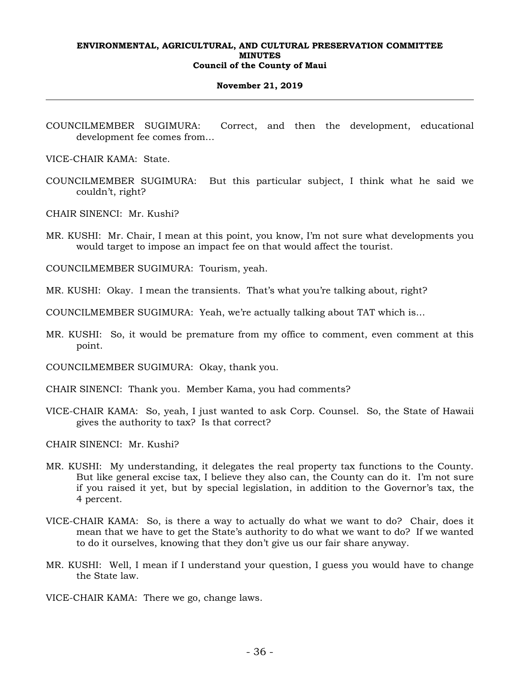#### **November 21, 2019**

- COUNCILMEMBER SUGIMURA: Correct, and then the development, educational development fee comes from…
- VICE-CHAIR KAMA: State.
- COUNCILMEMBER SUGIMURA: But this particular subject, I think what he said we couldn't, right?
- CHAIR SINENCI: Mr. Kushi?
- MR. KUSHI: Mr. Chair, I mean at this point, you know, I'm not sure what developments you would target to impose an impact fee on that would affect the tourist.
- COUNCILMEMBER SUGIMURA: Tourism, yeah.
- MR. KUSHI: Okay. I mean the transients. That's what you're talking about, right?
- COUNCILMEMBER SUGIMURA: Yeah, we're actually talking about TAT which is…
- MR. KUSHI: So, it would be premature from my office to comment, even comment at this point.
- COUNCILMEMBER SUGIMURA: Okay, thank you.
- CHAIR SINENCI: Thank you. Member Kama, you had comments?
- VICE-CHAIR KAMA: So, yeah, I just wanted to ask Corp. Counsel. So, the State of Hawaii gives the authority to tax? Is that correct?
- CHAIR SINENCI: Mr. Kushi?
- MR. KUSHI: My understanding, it delegates the real property tax functions to the County. But like general excise tax, I believe they also can, the County can do it. I'm not sure if you raised it yet, but by special legislation, in addition to the Governor's tax, the 4 percent.
- VICE-CHAIR KAMA: So, is there a way to actually do what we want to do? Chair, does it mean that we have to get the State's authority to do what we want to do? If we wanted to do it ourselves, knowing that they don't give us our fair share anyway.
- MR. KUSHI: Well, I mean if I understand your question, I guess you would have to change the State law.
- VICE-CHAIR KAMA: There we go, change laws.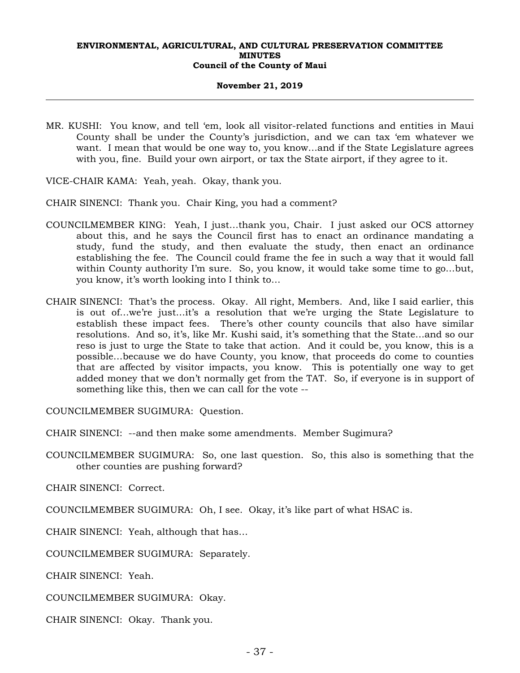#### **November 21, 2019**

- MR. KUSHI: You know, and tell 'em, look all visitor-related functions and entities in Maui County shall be under the County's jurisdiction, and we can tax 'em whatever we want. I mean that would be one way to, you know…and if the State Legislature agrees with you, fine. Build your own airport, or tax the State airport, if they agree to it.
- VICE-CHAIR KAMA: Yeah, yeah. Okay, thank you.
- CHAIR SINENCI: Thank you. Chair King, you had a comment?
- COUNCILMEMBER KING: Yeah, I just…thank you, Chair. I just asked our OCS attorney about this, and he says the Council first has to enact an ordinance mandating a study, fund the study, and then evaluate the study, then enact an ordinance establishing the fee. The Council could frame the fee in such a way that it would fall within County authority I'm sure. So, you know, it would take some time to go…but, you know, it's worth looking into I think to…
- CHAIR SINENCI: That's the process. Okay. All right, Members. And, like I said earlier, this is out of…we're just…it's a resolution that we're urging the State Legislature to establish these impact fees. There's other county councils that also have similar resolutions. And so, it's, like Mr. Kushi said, it's something that the State…and so our reso is just to urge the State to take that action. And it could be, you know, this is a possible…because we do have County, you know, that proceeds do come to counties that are affected by visitor impacts, you know. This is potentially one way to get added money that we don't normally get from the TAT. So, if everyone is in support of something like this, then we can call for the vote --

COUNCILMEMBER SUGIMURA: Question.

CHAIR SINENCI: --and then make some amendments. Member Sugimura?

COUNCILMEMBER SUGIMURA: So, one last question. So, this also is something that the other counties are pushing forward?

CHAIR SINENCI: Correct.

COUNCILMEMBER SUGIMURA: Oh, I see. Okay, it's like part of what HSAC is.

CHAIR SINENCI: Yeah, although that has…

COUNCILMEMBER SUGIMURA: Separately.

CHAIR SINENCI: Yeah.

COUNCILMEMBER SUGIMURA: Okay.

CHAIR SINENCI: Okay. Thank you.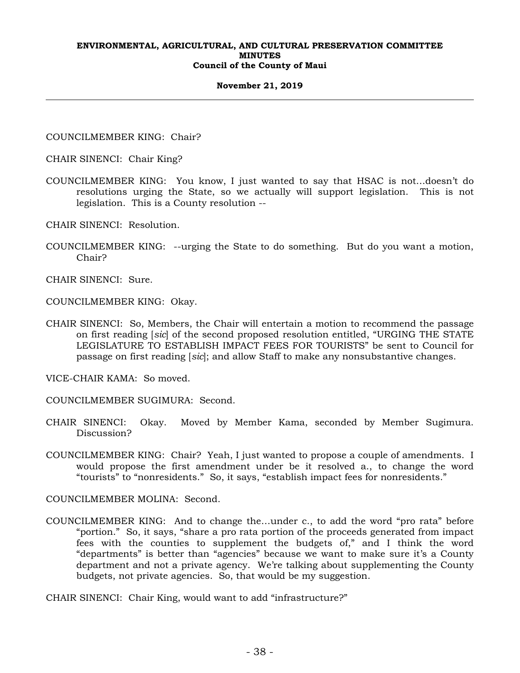#### **November 21, 2019**

COUNCILMEMBER KING: Chair?

CHAIR SINENCI: Chair King?

- COUNCILMEMBER KING: You know, I just wanted to say that HSAC is not…doesn't do resolutions urging the State, so we actually will support legislation. This is not legislation. This is a County resolution --
- CHAIR SINENCI: Resolution.
- COUNCILMEMBER KING: --urging the State to do something. But do you want a motion, Chair?

CHAIR SINENCI: Sure.

COUNCILMEMBER KING: Okay.

CHAIR SINENCI: So, Members, the Chair will entertain a motion to recommend the passage on first reading [*sic*] of the second proposed resolution entitled, "URGING THE STATE LEGISLATURE TO ESTABLISH IMPACT FEES FOR TOURISTS" be sent to Council for passage on first reading [*sic*]; and allow Staff to make any nonsubstantive changes.

VICE-CHAIR KAMA: So moved.

COUNCILMEMBER SUGIMURA: Second.

- CHAIR SINENCI: Okay. Moved by Member Kama, seconded by Member Sugimura. Discussion?
- COUNCILMEMBER KING: Chair? Yeah, I just wanted to propose a couple of amendments. I would propose the first amendment under be it resolved a., to change the word "tourists" to "nonresidents." So, it says, "establish impact fees for nonresidents."

COUNCILMEMBER MOLINA: Second.

COUNCILMEMBER KING: And to change the…under c., to add the word "pro rata" before "portion." So, it says, "share a pro rata portion of the proceeds generated from impact fees with the counties to supplement the budgets of," and I think the word "departments" is better than "agencies" because we want to make sure it's a County department and not a private agency. We're talking about supplementing the County budgets, not private agencies. So, that would be my suggestion.

CHAIR SINENCI: Chair King, would want to add "infrastructure?"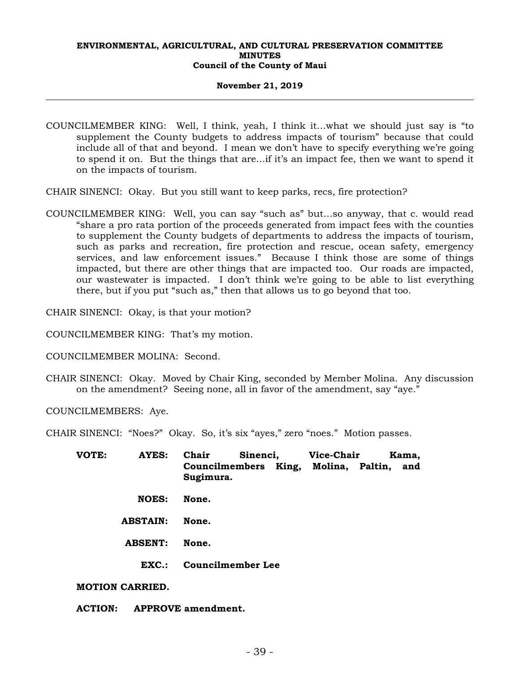#### **November 21, 2019**

COUNCILMEMBER KING: Well, I think, yeah, I think it…what we should just say is "to supplement the County budgets to address impacts of tourism" because that could include all of that and beyond. I mean we don't have to specify everything we're going to spend it on. But the things that are…if it's an impact fee, then we want to spend it on the impacts of tourism.

CHAIR SINENCI: Okay. But you still want to keep parks, recs, fire protection?

COUNCILMEMBER KING: Well, you can say "such as" but…so anyway, that c. would read "share a pro rata portion of the proceeds generated from impact fees with the counties to supplement the County budgets of departments to address the impacts of tourism, such as parks and recreation, fire protection and rescue, ocean safety, emergency services, and law enforcement issues." Because I think those are some of things impacted, but there are other things that are impacted too. Our roads are impacted, our wastewater is impacted. I don't think we're going to be able to list everything there, but if you put "such as," then that allows us to go beyond that too.

CHAIR SINENCI: Okay, is that your motion?

COUNCILMEMBER KING: That's my motion.

COUNCILMEMBER MOLINA: Second.

CHAIR SINENCI: Okay. Moved by Chair King, seconded by Member Molina. Any discussion on the amendment? Seeing none, all in favor of the amendment, say "aye."

COUNCILMEMBERS: Aye.

CHAIR SINENCI: "Noes?" Okay. So, it's six "ayes," zero "noes." Motion passes.

| VOTE: | <b>AYES:</b>           | Chair<br>Sinenci,                                     | <b>Vice-Chair</b> | Kama, |  |
|-------|------------------------|-------------------------------------------------------|-------------------|-------|--|
|       |                        | Councilmembers King, Molina, Paltin, and<br>Sugimura. |                   |       |  |
|       | <b>NOES:</b>           | None.                                                 |                   |       |  |
|       | <b>ABSTAIN:</b>        | None.                                                 |                   |       |  |
|       | <b>ABSENT:</b>         | None.                                                 |                   |       |  |
|       | EXC.                   | <b>Councilmember Lee</b>                              |                   |       |  |
|       | <b>MOTION CARRIED.</b> |                                                       |                   |       |  |

**ACTION: APPROVE amendment.**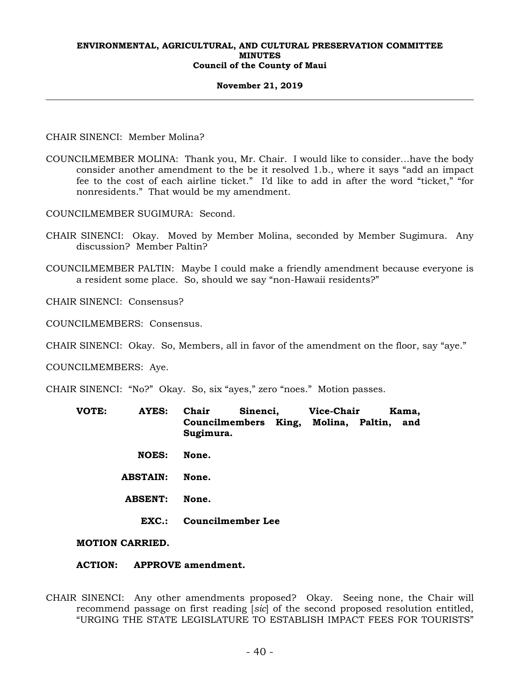#### **November 21, 2019**

CHAIR SINENCI: Member Molina?

COUNCILMEMBER MOLINA: Thank you, Mr. Chair. I would like to consider…have the body consider another amendment to the be it resolved 1.b., where it says "add an impact fee to the cost of each airline ticket." I'd like to add in after the word "ticket," "for nonresidents." That would be my amendment.

COUNCILMEMBER SUGIMURA: Second.

- CHAIR SINENCI: Okay. Moved by Member Molina, seconded by Member Sugimura. Any discussion? Member Paltin?
- COUNCILMEMBER PALTIN: Maybe I could make a friendly amendment because everyone is a resident some place. So, should we say "non-Hawaii residents?"

CHAIR SINENCI: Consensus?

COUNCILMEMBERS: Consensus.

CHAIR SINENCI: Okay. So, Members, all in favor of the amendment on the floor, say "aye."

COUNCILMEMBERS: Aye.

CHAIR SINENCI: "No?" Okay. So, six "ayes," zero "noes." Motion passes.

- **VOTE: AYES: Chair Sinenci, Vice-Chair Kama, Councilmembers King, Molina, Paltin, and Sugimura.** 
	- **NOES: None.**
	- **ABSTAIN: None.**
	- **ABSENT: None.** 
		- **EXC.: Councilmember Lee**

**MOTION CARRIED.** 

### **ACTION: APPROVE amendment.**

CHAIR SINENCI: Any other amendments proposed? Okay. Seeing none, the Chair will recommend passage on first reading [*sic*] of the second proposed resolution entitled, "URGING THE STATE LEGISLATURE TO ESTABLISH IMPACT FEES FOR TOURISTS"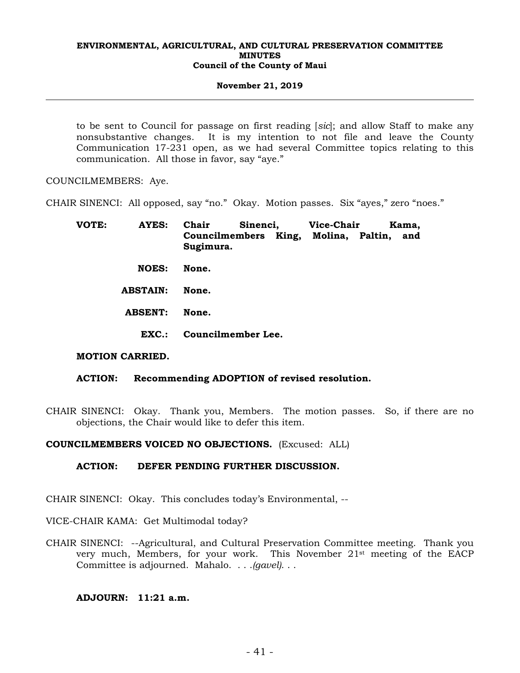#### **November 21, 2019**

to be sent to Council for passage on first reading [*sic*]; and allow Staff to make any nonsubstantive changes. It is my intention to not file and leave the County Communication 17-231 open, as we had several Committee topics relating to this communication. All those in favor, say "aye."

COUNCILMEMBERS: Aye.

CHAIR SINENCI: All opposed, say "no." Okay. Motion passes. Six "ayes," zero "noes."

| Chair |           |                                | Kama,                                                     |
|-------|-----------|--------------------------------|-----------------------------------------------------------|
|       |           |                                | and                                                       |
| None. |           |                                |                                                           |
| None. |           |                                |                                                           |
| None. |           |                                |                                                           |
|       |           |                                |                                                           |
|       | Sugimura. | Sinenci,<br>Councilmember Lee. | <b>Vice-Chair</b><br>Councilmembers King, Molina, Paltin, |

# **MOTION CARRIED.**

# **ACTION: Recommending ADOPTION of revised resolution.**

CHAIR SINENCI: Okay. Thank you, Members. The motion passes. So, if there are no objections, the Chair would like to defer this item.

# **COUNCILMEMBERS VOICED NO OBJECTIONS.** (Excused: ALL)

# **ACTION: DEFER PENDING FURTHER DISCUSSION.**

CHAIR SINENCI: Okay. This concludes today's Environmental, --

VICE-CHAIR KAMA: Get Multimodal today?

CHAIR SINENCI: --Agricultural, and Cultural Preservation Committee meeting. Thank you very much, Members, for your work. This November 21st meeting of the EACP Committee is adjourned. Mahalo. . . .*(gavel)*. . .

# **ADJOURN: 11:21 a.m.**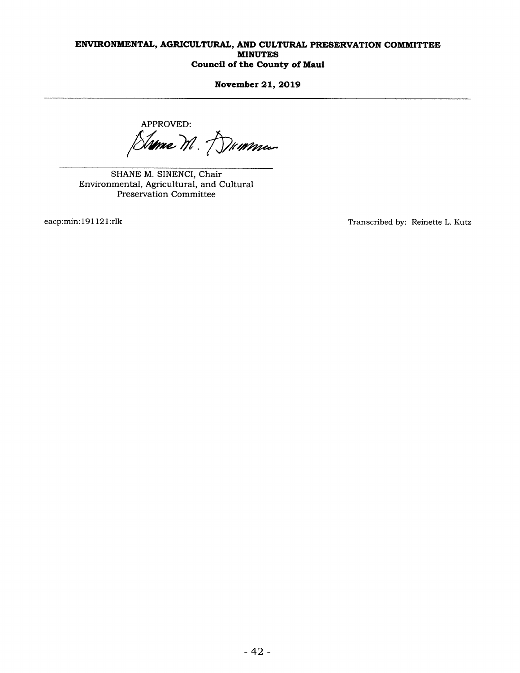November 21, 2019

APPROVED:

Sume M. Dummer

SHANE M. SINENCI, Chair Environmental, Agricultural, and Cultural Preservation Committee

eacp:min:191 121:rlk Transcribed by: Reinette L. Kutz